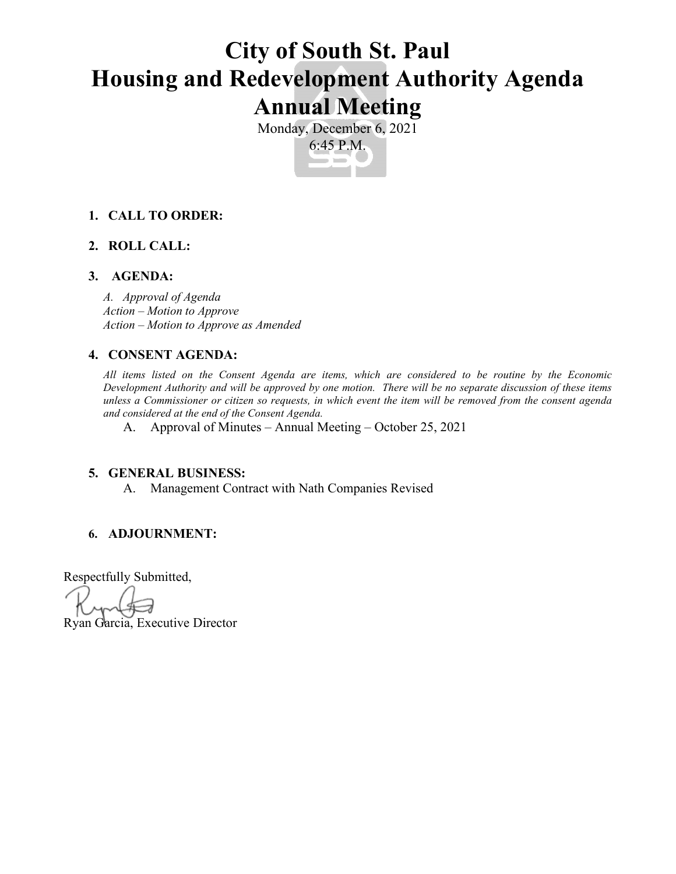# **City of South St. Paul Housing and Redevelopment Authority Agenda Annual Meeting**

Monday, December 6, 2021 6:45 P.M.

### **1. CALL TO ORDER:**

### **2. ROLL CALL:**

### **3. AGENDA:**

*A. Approval of Agenda Action – Motion to Approve Action – Motion to Approve as Amended*

### **4. CONSENT AGENDA:**

*All items listed on the Consent Agenda are items, which are considered to be routine by the Economic Development Authority and will be approved by one motion. There will be no separate discussion of these items unless a Commissioner or citizen so requests, in which event the item will be removed from the consent agenda and considered at the end of the Consent Agenda.*

A. Approval of Minutes – Annual Meeting – October 25, 2021

#### **5. GENERAL BUSINESS:**

A. Management Contract with Nath Companies Revised

#### **6. ADJOURNMENT:**

Respectfully Submitted,

Ryan Garcia, Executive Director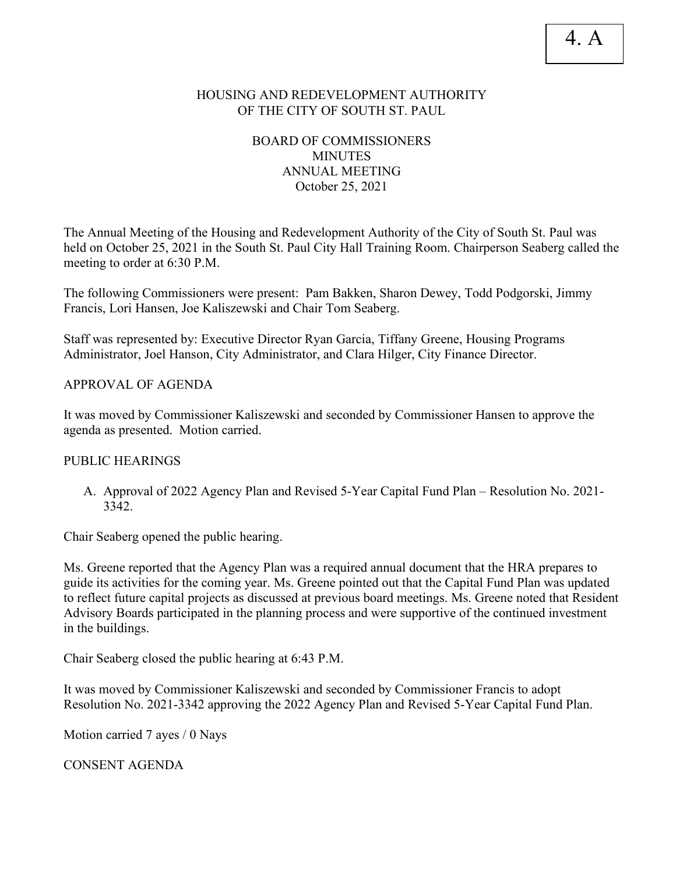### HOUSING AND REDEVELOPMENT AUTHORITY OF THE CITY OF SOUTH ST. PAUL

### BOARD OF COMMISSIONERS MINUTES ANNUAL MEETING October 25, 2021

The Annual Meeting of the Housing and Redevelopment Authority of the City of South St. Paul was held on October 25, 2021 in the South St. Paul City Hall Training Room. Chairperson Seaberg called the meeting to order at 6:30 P.M.

The following Commissioners were present: Pam Bakken, Sharon Dewey, Todd Podgorski, Jimmy Francis, Lori Hansen, Joe Kaliszewski and Chair Tom Seaberg.

Staff was represented by: Executive Director Ryan Garcia, Tiffany Greene, Housing Programs Administrator, Joel Hanson, City Administrator, and Clara Hilger, City Finance Director.

APPROVAL OF AGENDA

It was moved by Commissioner Kaliszewski and seconded by Commissioner Hansen to approve the agenda as presented. Motion carried.

### PUBLIC HEARINGS

A. Approval of 2022 Agency Plan and Revised 5-Year Capital Fund Plan – Resolution No. 2021- 3342.

Chair Seaberg opened the public hearing.

Ms. Greene reported that the Agency Plan was a required annual document that the HRA prepares to guide its activities for the coming year. Ms. Greene pointed out that the Capital Fund Plan was updated to reflect future capital projects as discussed at previous board meetings. Ms. Greene noted that Resident Advisory Boards participated in the planning process and were supportive of the continued investment in the buildings.

Chair Seaberg closed the public hearing at 6:43 P.M.

It was moved by Commissioner Kaliszewski and seconded by Commissioner Francis to adopt Resolution No. 2021-3342 approving the 2022 Agency Plan and Revised 5-Year Capital Fund Plan.

Motion carried 7 ayes / 0 Nays

CONSENT AGENDA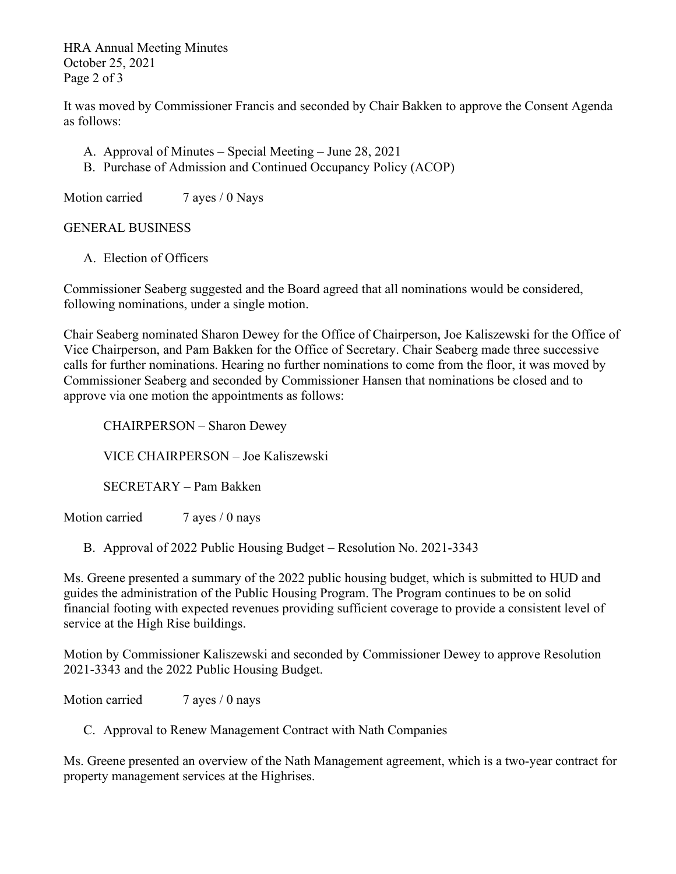HRA Annual Meeting Minutes October 25, 2021 Page 2 of 3

It was moved by Commissioner Francis and seconded by Chair Bakken to approve the Consent Agenda as follows:

- A. Approval of Minutes Special Meeting June 28, 2021
- B. Purchase of Admission and Continued Occupancy Policy (ACOP)

Motion carried 7 ayes / 0 Nays

GENERAL BUSINESS

A. Election of Officers

Commissioner Seaberg suggested and the Board agreed that all nominations would be considered, following nominations, under a single motion.

Chair Seaberg nominated Sharon Dewey for the Office of Chairperson, Joe Kaliszewski for the Office of Vice Chairperson, and Pam Bakken for the Office of Secretary. Chair Seaberg made three successive calls for further nominations. Hearing no further nominations to come from the floor, it was moved by Commissioner Seaberg and seconded by Commissioner Hansen that nominations be closed and to approve via one motion the appointments as follows:

CHAIRPERSON – Sharon Dewey

VICE CHAIRPERSON – Joe Kaliszewski

SECRETARY – Pam Bakken

Motion carried 7 ayes / 0 nays

B. Approval of 2022 Public Housing Budget – Resolution No. 2021-3343

Ms. Greene presented a summary of the 2022 public housing budget, which is submitted to HUD and guides the administration of the Public Housing Program. The Program continues to be on solid financial footing with expected revenues providing sufficient coverage to provide a consistent level of service at the High Rise buildings.

Motion by Commissioner Kaliszewski and seconded by Commissioner Dewey to approve Resolution 2021-3343 and the 2022 Public Housing Budget.

Motion carried 7 ayes / 0 nays

C. Approval to Renew Management Contract with Nath Companies

Ms. Greene presented an overview of the Nath Management agreement, which is a two-year contract for property management services at the Highrises.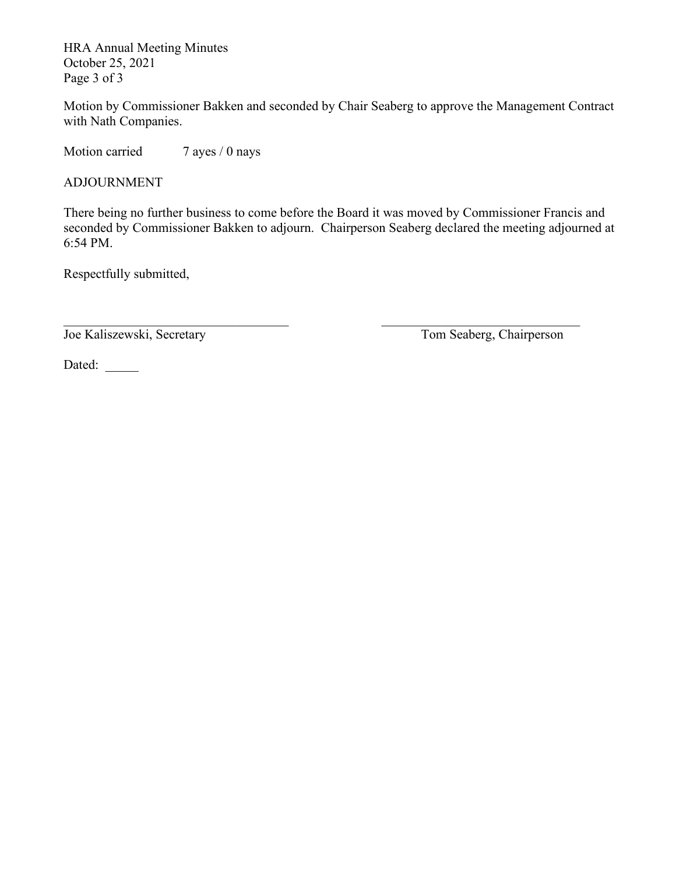HRA Annual Meeting Minutes October 25, 2021 Page 3 of 3

Motion by Commissioner Bakken and seconded by Chair Seaberg to approve the Management Contract with Nath Companies.

Motion carried 7 ayes / 0 nays

ADJOURNMENT

There being no further business to come before the Board it was moved by Commissioner Francis and seconded by Commissioner Bakken to adjourn. Chairperson Seaberg declared the meeting adjourned at 6:54 PM.

 $\Box$ 

Respectfully submitted,

Joe Kaliszewski, Secretary Tom Seaberg, Chairperson

Dated: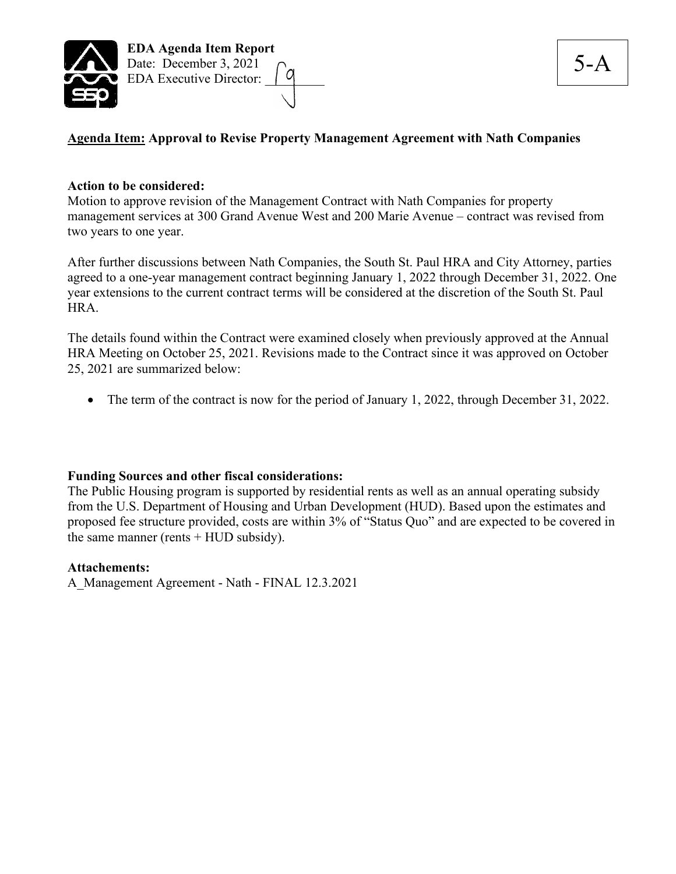

### **Agenda Item: Approval to Revise Property Management Agreement with Nath Companies**

### **Action to be considered:**

Motion to approve revision of the Management Contract with Nath Companies for property management services at 300 Grand Avenue West and 200 Marie Avenue – contract was revised from two years to one year.

After further discussions between Nath Companies, the South St. Paul HRA and City Attorney, parties agreed to a one-year management contract beginning January 1, 2022 through December 31, 2022. One year extensions to the current contract terms will be considered at the discretion of the South St. Paul HRA.

The details found within the Contract were examined closely when previously approved at the Annual HRA Meeting on October 25, 2021. Revisions made to the Contract since it was approved on October 25, 2021 are summarized below:

• The term of the contract is now for the period of January 1, 2022, through December 31, 2022.

### **Funding Sources and other fiscal considerations:**

The Public Housing program is supported by residential rents as well as an annual operating subsidy from the U.S. Department of Housing and Urban Development (HUD). Based upon the estimates and proposed fee structure provided, costs are within 3% of "Status Quo" and are expected to be covered in the same manner (rents  $+$  HUD subsidy).

#### **Attachements:**

A\_Management Agreement - Nath - FINAL 12.3.2021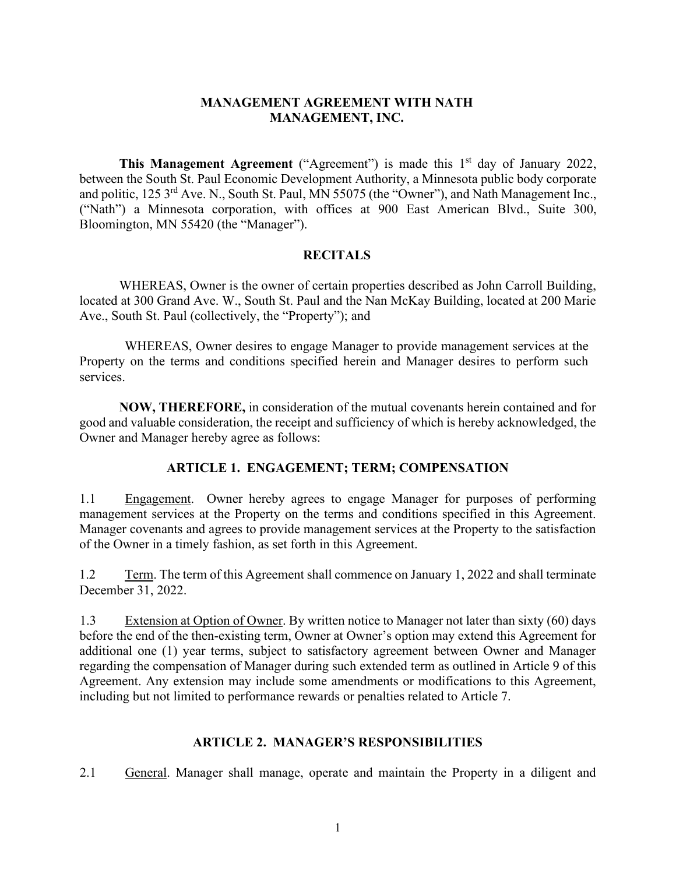### **MANAGEMENT AGREEMENT WITH NATH MANAGEMENT, INC.**

**This Management Agreement** ("Agreement") is made this 1<sup>st</sup> day of January 2022, between the South St. Paul Economic Development Authority, a Minnesota public body corporate and politic, 125 3<sup>rd</sup> Ave. N., South St. Paul, MN 55075 (the "Owner"), and Nath Management Inc., ("Nath") a Minnesota corporation, with offices at 900 East American Blvd., Suite 300, Bloomington, MN 55420 (the "Manager").

### **RECITALS**

WHEREAS, Owner is the owner of certain properties described as John Carroll Building, located at 300 Grand Ave. W., South St. Paul and the Nan McKay Building, located at 200 Marie Ave., South St. Paul (collectively, the "Property"); and

WHEREAS, Owner desires to engage Manager to provide management services at the Property on the terms and conditions specified herein and Manager desires to perform such services.

**NOW, THEREFORE,** in consideration of the mutual covenants herein contained and for good and valuable consideration, the receipt and sufficiency of which is hereby acknowledged, the Owner and Manager hereby agree as follows:

### **ARTICLE 1. ENGAGEMENT; TERM; COMPENSATION**

1.1 Engagement. Owner hereby agrees to engage Manager for purposes of performing management services at the Property on the terms and conditions specified in this Agreement. Manager covenants and agrees to provide management services at the Property to the satisfaction of the Owner in a timely fashion, as set forth in this Agreement.

1.2 Term. The term of this Agreement shall commence on January 1, 2022 and shall terminate December 31, 2022.

1.3 Extension at Option of Owner. By written notice to Manager not later than sixty (60) days before the end of the then-existing term, Owner at Owner's option may extend this Agreement for additional one (1) year terms, subject to satisfactory agreement between Owner and Manager regarding the compensation of Manager during such extended term as outlined in Article 9 of this Agreement. Any extension may include some amendments or modifications to this Agreement, including but not limited to performance rewards or penalties related to Article 7.

### **ARTICLE 2. MANAGER'S RESPONSIBILITIES**

2.1 General. Manager shall manage, operate and maintain the Property in a diligent and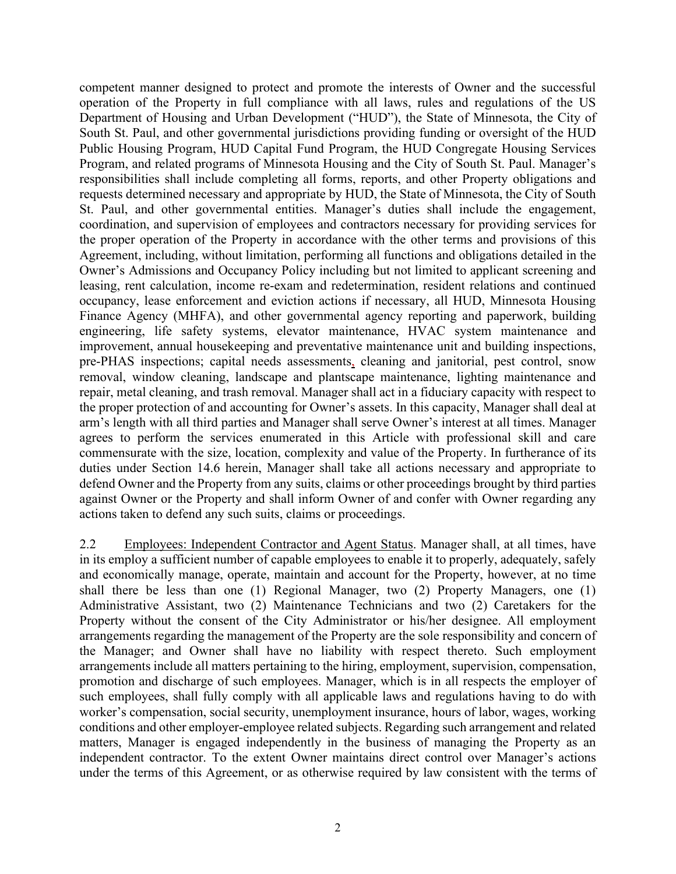competent manner designed to protect and promote the interests of Owner and the successful operation of the Property in full compliance with all laws, rules and regulations of the US Department of Housing and Urban Development ("HUD"), the State of Minnesota, the City of South St. Paul, and other governmental jurisdictions providing funding or oversight of the HUD Public Housing Program, HUD Capital Fund Program, the HUD Congregate Housing Services Program, and related programs of Minnesota Housing and the City of South St. Paul. Manager's responsibilities shall include completing all forms, reports, and other Property obligations and requests determined necessary and appropriate by HUD, the State of Minnesota, the City of South St. Paul, and other governmental entities. Manager's duties shall include the engagement, coordination, and supervision of employees and contractors necessary for providing services for the proper operation of the Property in accordance with the other terms and provisions of this Agreement, including, without limitation, performing all functions and obligations detailed in the Owner's Admissions and Occupancy Policy including but not limited to applicant screening and leasing, rent calculation, income re-exam and redetermination, resident relations and continued occupancy, lease enforcement and eviction actions if necessary, all HUD, Minnesota Housing Finance Agency (MHFA), and other governmental agency reporting and paperwork, building engineering, life safety systems, elevator maintenance, HVAC system maintenance and improvement, annual housekeeping and preventative maintenance unit and building inspections, pre-PHAS inspections; capital needs assessments, cleaning and janitorial, pest control, snow removal, window cleaning, landscape and plantscape maintenance, lighting maintenance and repair, metal cleaning, and trash removal. Manager shall act in a fiduciary capacity with respect to the proper protection of and accounting for Owner's assets. In this capacity, Manager shall deal at arm's length with all third parties and Manager shall serve Owner's interest at all times. Manager agrees to perform the services enumerated in this Article with professional skill and care commensurate with the size, location, complexity and value of the Property. In furtherance of its duties under Section 14.6 herein, Manager shall take all actions necessary and appropriate to defend Owner and the Property from any suits, claims or other proceedings brought by third parties against Owner or the Property and shall inform Owner of and confer with Owner regarding any actions taken to defend any such suits, claims or proceedings.

2.2 Employees: Independent Contractor and Agent Status. Manager shall, at all times, have in its employ a sufficient number of capable employees to enable it to properly, adequately, safely and economically manage, operate, maintain and account for the Property, however, at no time shall there be less than one (1) Regional Manager, two (2) Property Managers, one (1) Administrative Assistant, two (2) Maintenance Technicians and two (2) Caretakers for the Property without the consent of the City Administrator or his/her designee. All employment arrangements regarding the management of the Property are the sole responsibility and concern of the Manager; and Owner shall have no liability with respect thereto. Such employment arrangements include all matters pertaining to the hiring, employment, supervision, compensation, promotion and discharge of such employees. Manager, which is in all respects the employer of such employees, shall fully comply with all applicable laws and regulations having to do with worker's compensation, social security, unemployment insurance, hours of labor, wages, working conditions and other employer-employee related subjects. Regarding such arrangement and related matters, Manager is engaged independently in the business of managing the Property as an independent contractor. To the extent Owner maintains direct control over Manager's actions under the terms of this Agreement, or as otherwise required by law consistent with the terms of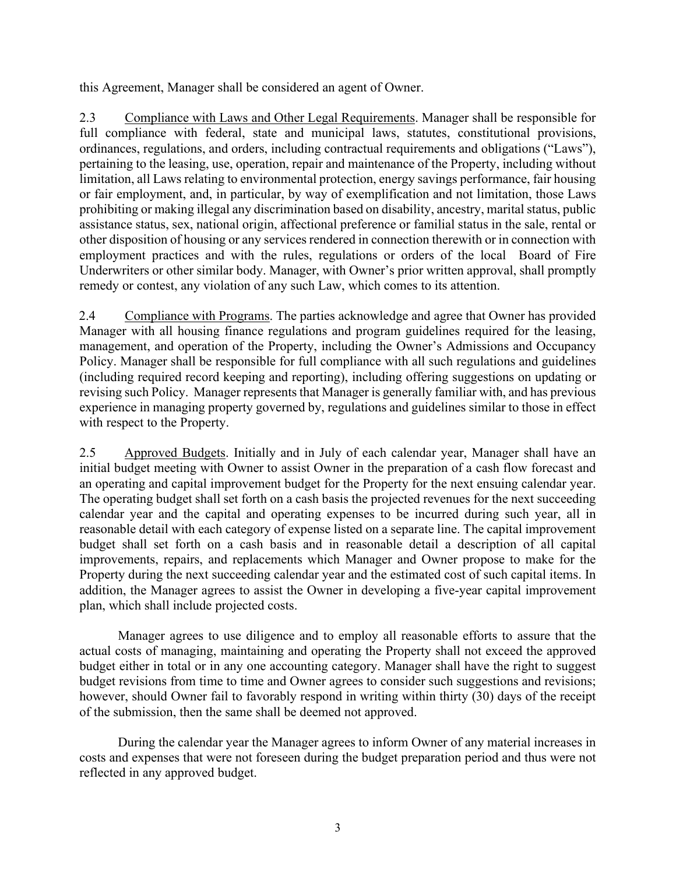this Agreement, Manager shall be considered an agent of Owner.

2.3 Compliance with Laws and Other Legal Requirements. Manager shall be responsible for full compliance with federal, state and municipal laws, statutes, constitutional provisions, ordinances, regulations, and orders, including contractual requirements and obligations ("Laws"), pertaining to the leasing, use, operation, repair and maintenance of the Property, including without limitation, all Laws relating to environmental protection, energy savings performance, fair housing or fair employment, and, in particular, by way of exemplification and not limitation, those Laws prohibiting or making illegal any discrimination based on disability, ancestry, marital status, public assistance status, sex, national origin, affectional preference or familial status in the sale, rental or other disposition of housing or any services rendered in connection therewith or in connection with employment practices and with the rules, regulations or orders of the local Board of Fire Underwriters or other similar body. Manager, with Owner's prior written approval, shall promptly remedy or contest, any violation of any such Law, which comes to its attention.

2.4 Compliance with Programs. The parties acknowledge and agree that Owner has provided Manager with all housing finance regulations and program guidelines required for the leasing, management, and operation of the Property, including the Owner's Admissions and Occupancy Policy. Manager shall be responsible for full compliance with all such regulations and guidelines (including required record keeping and reporting), including offering suggestions on updating or revising such Policy. Manager represents that Manager is generally familiar with, and has previous experience in managing property governed by, regulations and guidelines similar to those in effect with respect to the Property.

2.5 Approved Budgets. Initially and in July of each calendar year, Manager shall have an initial budget meeting with Owner to assist Owner in the preparation of a cash flow forecast and an operating and capital improvement budget for the Property for the next ensuing calendar year. The operating budget shall set forth on a cash basis the projected revenues for the next succeeding calendar year and the capital and operating expenses to be incurred during such year, all in reasonable detail with each category of expense listed on a separate line. The capital improvement budget shall set forth on a cash basis and in reasonable detail a description of all capital improvements, repairs, and replacements which Manager and Owner propose to make for the Property during the next succeeding calendar year and the estimated cost of such capital items. In addition, the Manager agrees to assist the Owner in developing a five-year capital improvement plan, which shall include projected costs.

Manager agrees to use diligence and to employ all reasonable efforts to assure that the actual costs of managing, maintaining and operating the Property shall not exceed the approved budget either in total or in any one accounting category. Manager shall have the right to suggest budget revisions from time to time and Owner agrees to consider such suggestions and revisions; however, should Owner fail to favorably respond in writing within thirty (30) days of the receipt of the submission, then the same shall be deemed not approved.

During the calendar year the Manager agrees to inform Owner of any material increases in costs and expenses that were not foreseen during the budget preparation period and thus were not reflected in any approved budget.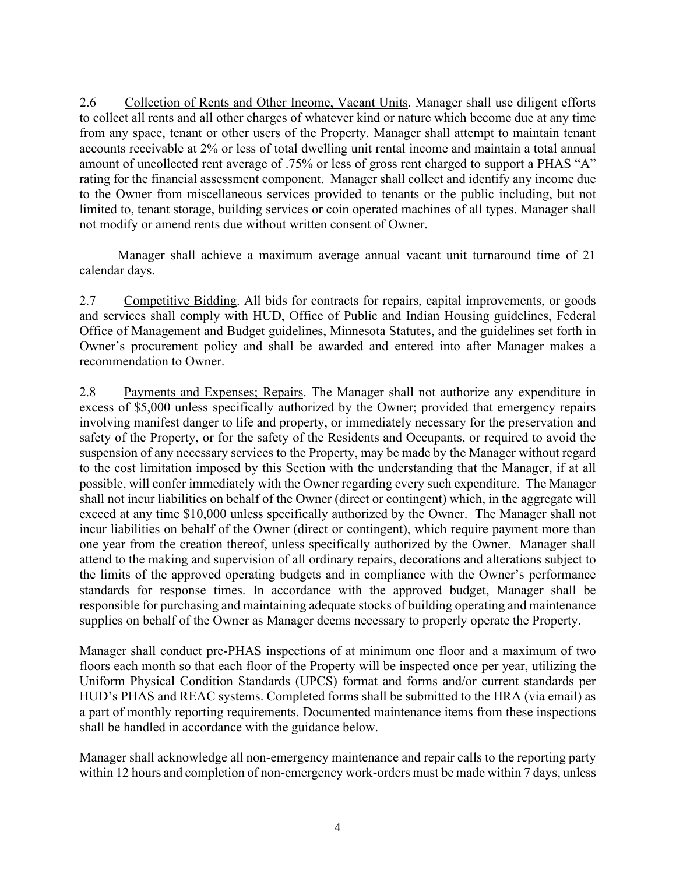2.6 Collection of Rents and Other Income, Vacant Units. Manager shall use diligent efforts to collect all rents and all other charges of whatever kind or nature which become due at any time from any space, tenant or other users of the Property. Manager shall attempt to maintain tenant accounts receivable at 2% or less of total dwelling unit rental income and maintain a total annual amount of uncollected rent average of .75% or less of gross rent charged to support a PHAS "A" rating for the financial assessment component. Manager shall collect and identify any income due to the Owner from miscellaneous services provided to tenants or the public including, but not limited to, tenant storage, building services or coin operated machines of all types. Manager shall not modify or amend rents due without written consent of Owner.

Manager shall achieve a maximum average annual vacant unit turnaround time of 21 calendar days.

2.7 Competitive Bidding. All bids for contracts for repairs, capital improvements, or goods and services shall comply with HUD, Office of Public and Indian Housing guidelines, Federal Office of Management and Budget guidelines, Minnesota Statutes, and the guidelines set forth in Owner's procurement policy and shall be awarded and entered into after Manager makes a recommendation to Owner.

2.8 Payments and Expenses; Repairs. The Manager shall not authorize any expenditure in excess of \$5,000 unless specifically authorized by the Owner; provided that emergency repairs involving manifest danger to life and property, or immediately necessary for the preservation and safety of the Property, or for the safety of the Residents and Occupants, or required to avoid the suspension of any necessary services to the Property, may be made by the Manager without regard to the cost limitation imposed by this Section with the understanding that the Manager, if at all possible, will confer immediately with the Owner regarding every such expenditure. The Manager shall not incur liabilities on behalf of the Owner (direct or contingent) which, in the aggregate will exceed at any time \$10,000 unless specifically authorized by the Owner. The Manager shall not incur liabilities on behalf of the Owner (direct or contingent), which require payment more than one year from the creation thereof, unless specifically authorized by the Owner. Manager shall attend to the making and supervision of all ordinary repairs, decorations and alterations subject to the limits of the approved operating budgets and in compliance with the Owner's performance standards for response times. In accordance with the approved budget, Manager shall be responsible for purchasing and maintaining adequate stocks of building operating and maintenance supplies on behalf of the Owner as Manager deems necessary to properly operate the Property.

Manager shall conduct pre-PHAS inspections of at minimum one floor and a maximum of two floors each month so that each floor of the Property will be inspected once per year, utilizing the Uniform Physical Condition Standards (UPCS) format and forms and/or current standards per HUD's PHAS and REAC systems. Completed forms shall be submitted to the HRA (via email) as a part of monthly reporting requirements. Documented maintenance items from these inspections shall be handled in accordance with the guidance below.

Manager shall acknowledge all non-emergency maintenance and repair calls to the reporting party within 12 hours and completion of non-emergency work-orders must be made within 7 days, unless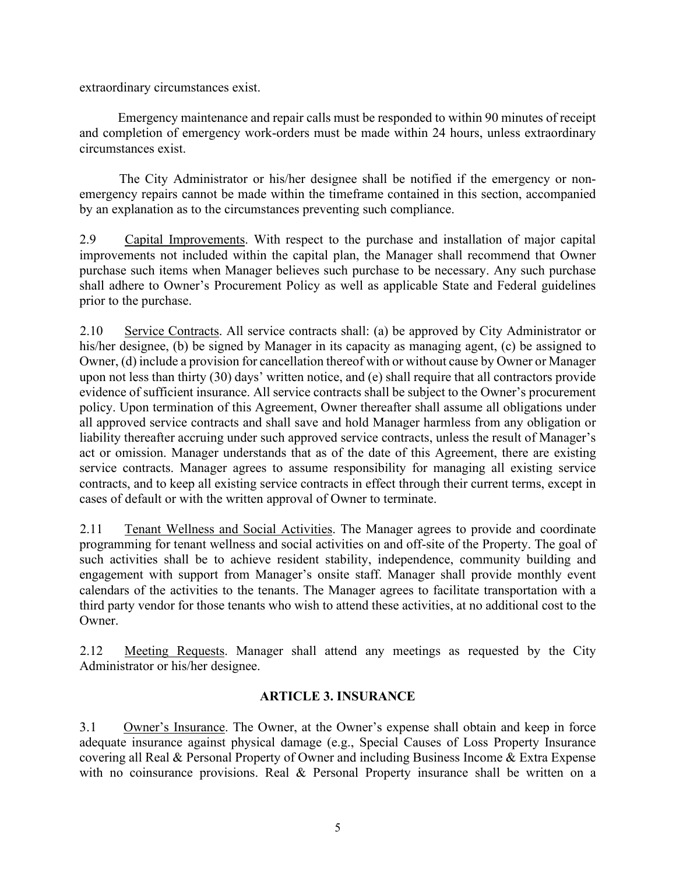extraordinary circumstances exist.

Emergency maintenance and repair calls must be responded to within 90 minutes of receipt and completion of emergency work-orders must be made within 24 hours, unless extraordinary circumstances exist.

The City Administrator or his/her designee shall be notified if the emergency or nonemergency repairs cannot be made within the timeframe contained in this section, accompanied by an explanation as to the circumstances preventing such compliance.

2.9 Capital Improvements. With respect to the purchase and installation of major capital improvements not included within the capital plan, the Manager shall recommend that Owner purchase such items when Manager believes such purchase to be necessary. Any such purchase shall adhere to Owner's Procurement Policy as well as applicable State and Federal guidelines prior to the purchase.

2.10 Service Contracts. All service contracts shall: (a) be approved by City Administrator or his/her designee, (b) be signed by Manager in its capacity as managing agent, (c) be assigned to Owner, (d) include a provision for cancellation thereof with or without cause by Owner or Manager upon not less than thirty (30) days' written notice, and (e) shall require that all contractors provide evidence of sufficient insurance. All service contracts shall be subject to the Owner's procurement policy. Upon termination of this Agreement, Owner thereafter shall assume all obligations under all approved service contracts and shall save and hold Manager harmless from any obligation or liability thereafter accruing under such approved service contracts, unless the result of Manager's act or omission. Manager understands that as of the date of this Agreement, there are existing service contracts. Manager agrees to assume responsibility for managing all existing service contracts, and to keep all existing service contracts in effect through their current terms, except in cases of default or with the written approval of Owner to terminate.

2.11 Tenant Wellness and Social Activities. The Manager agrees to provide and coordinate programming for tenant wellness and social activities on and off-site of the Property. The goal of such activities shall be to achieve resident stability, independence, community building and engagement with support from Manager's onsite staff. Manager shall provide monthly event calendars of the activities to the tenants. The Manager agrees to facilitate transportation with a third party vendor for those tenants who wish to attend these activities, at no additional cost to the Owner.

2.12 Meeting Requests. Manager shall attend any meetings as requested by the City Administrator or his/her designee.

### **ARTICLE 3. INSURANCE**

3.1 Owner's Insurance. The Owner, at the Owner's expense shall obtain and keep in force adequate insurance against physical damage (e.g., Special Causes of Loss Property Insurance covering all Real & Personal Property of Owner and including Business Income & Extra Expense with no coinsurance provisions. Real & Personal Property insurance shall be written on a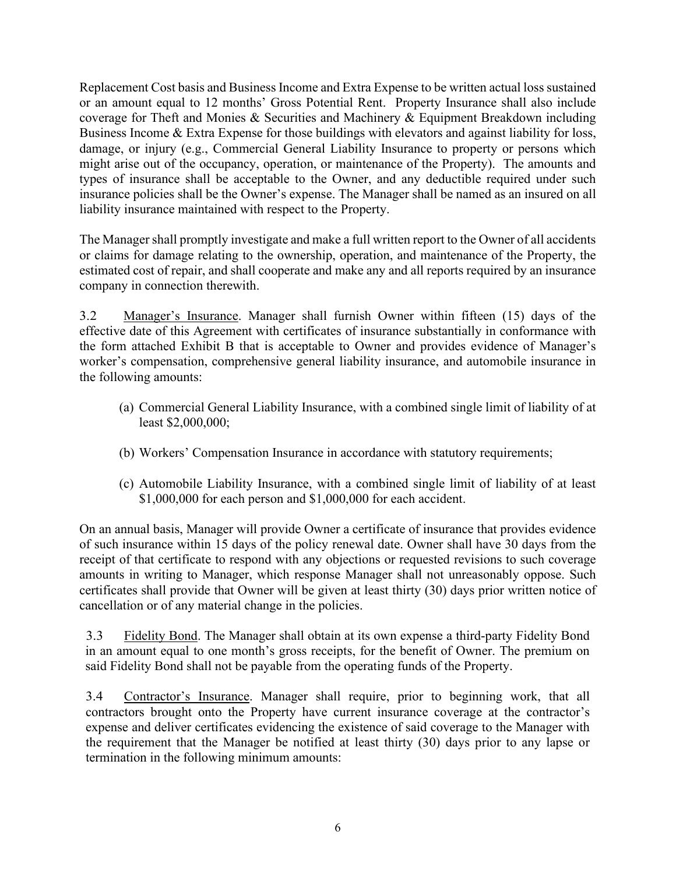Replacement Cost basis and Business Income and Extra Expense to be written actual loss sustained or an amount equal to 12 months' Gross Potential Rent. Property Insurance shall also include coverage for Theft and Monies & Securities and Machinery & Equipment Breakdown including Business Income & Extra Expense for those buildings with elevators and against liability for loss, damage, or injury (e.g., Commercial General Liability Insurance to property or persons which might arise out of the occupancy, operation, or maintenance of the Property). The amounts and types of insurance shall be acceptable to the Owner, and any deductible required under such insurance policies shall be the Owner's expense. The Manager shall be named as an insured on all liability insurance maintained with respect to the Property.

The Manager shall promptly investigate and make a full written report to the Owner of all accidents or claims for damage relating to the ownership, operation, and maintenance of the Property, the estimated cost of repair, and shall cooperate and make any and all reports required by an insurance company in connection therewith.

3.2 Manager's Insurance. Manager shall furnish Owner within fifteen (15) days of the effective date of this Agreement with certificates of insurance substantially in conformance with the form attached Exhibit B that is acceptable to Owner and provides evidence of Manager's worker's compensation, comprehensive general liability insurance, and automobile insurance in the following amounts:

- (a) Commercial General Liability Insurance, with a combined single limit of liability of at least \$2,000,000;
- (b) Workers' Compensation Insurance in accordance with statutory requirements;
- (c) Automobile Liability Insurance, with a combined single limit of liability of at least \$1,000,000 for each person and \$1,000,000 for each accident.

On an annual basis, Manager will provide Owner a certificate of insurance that provides evidence of such insurance within 15 days of the policy renewal date. Owner shall have 30 days from the receipt of that certificate to respond with any objections or requested revisions to such coverage amounts in writing to Manager, which response Manager shall not unreasonably oppose. Such certificates shall provide that Owner will be given at least thirty (30) days prior written notice of cancellation or of any material change in the policies.

3.3 Fidelity Bond. The Manager shall obtain at its own expense a third-party Fidelity Bond in an amount equal to one month's gross receipts, for the benefit of Owner. The premium on said Fidelity Bond shall not be payable from the operating funds of the Property.

3.4 Contractor's Insurance. Manager shall require, prior to beginning work, that all contractors brought onto the Property have current insurance coverage at the contractor's expense and deliver certificates evidencing the existence of said coverage to the Manager with the requirement that the Manager be notified at least thirty (30) days prior to any lapse or termination in the following minimum amounts: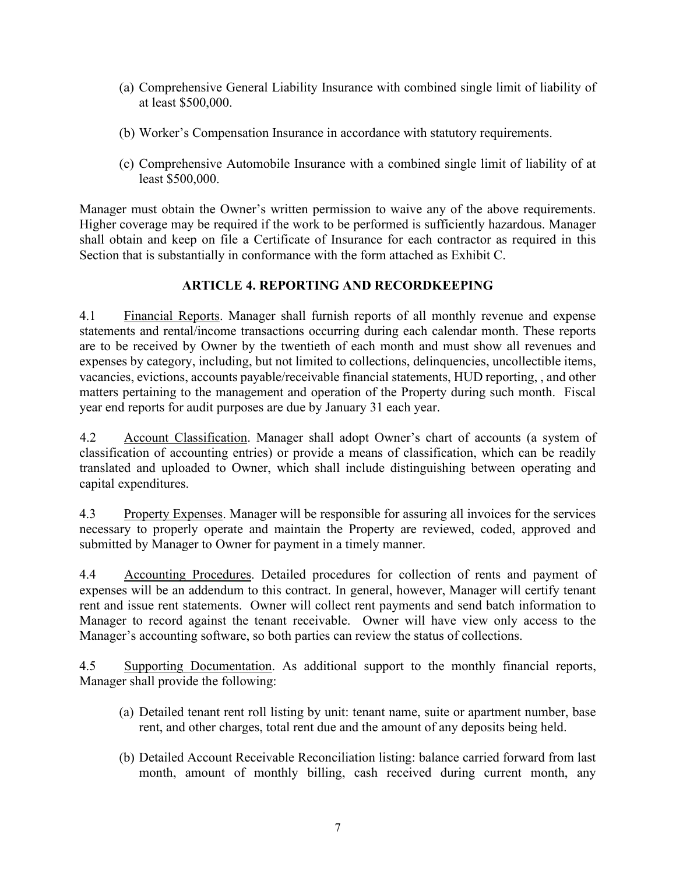- (a) Comprehensive General Liability Insurance with combined single limit of liability of at least \$500,000.
- (b) Worker's Compensation Insurance in accordance with statutory requirements.
- (c) Comprehensive Automobile Insurance with a combined single limit of liability of at least \$500,000.

Manager must obtain the Owner's written permission to waive any of the above requirements. Higher coverage may be required if the work to be performed is sufficiently hazardous. Manager shall obtain and keep on file a Certificate of Insurance for each contractor as required in this Section that is substantially in conformance with the form attached as Exhibit C.

### **ARTICLE 4. REPORTING AND RECORDKEEPING**

4.1 Financial Reports. Manager shall furnish reports of all monthly revenue and expense statements and rental/income transactions occurring during each calendar month. These reports are to be received by Owner by the twentieth of each month and must show all revenues and expenses by category, including, but not limited to collections, delinquencies, uncollectible items, vacancies, evictions, accounts payable/receivable financial statements, HUD reporting, , and other matters pertaining to the management and operation of the Property during such month. Fiscal year end reports for audit purposes are due by January 31 each year.

4.2 Account Classification. Manager shall adopt Owner's chart of accounts (a system of classification of accounting entries) or provide a means of classification, which can be readily translated and uploaded to Owner, which shall include distinguishing between operating and capital expenditures.

4.3 Property Expenses. Manager will be responsible for assuring all invoices for the services necessary to properly operate and maintain the Property are reviewed, coded, approved and submitted by Manager to Owner for payment in a timely manner.

4.4 Accounting Procedures. Detailed procedures for collection of rents and payment of expenses will be an addendum to this contract. In general, however, Manager will certify tenant rent and issue rent statements. Owner will collect rent payments and send batch information to Manager to record against the tenant receivable. Owner will have view only access to the Manager's accounting software, so both parties can review the status of collections.

4.5 Supporting Documentation. As additional support to the monthly financial reports, Manager shall provide the following:

- (a) Detailed tenant rent roll listing by unit: tenant name, suite or apartment number, base rent, and other charges, total rent due and the amount of any deposits being held.
- (b) Detailed Account Receivable Reconciliation listing: balance carried forward from last month, amount of monthly billing, cash received during current month, any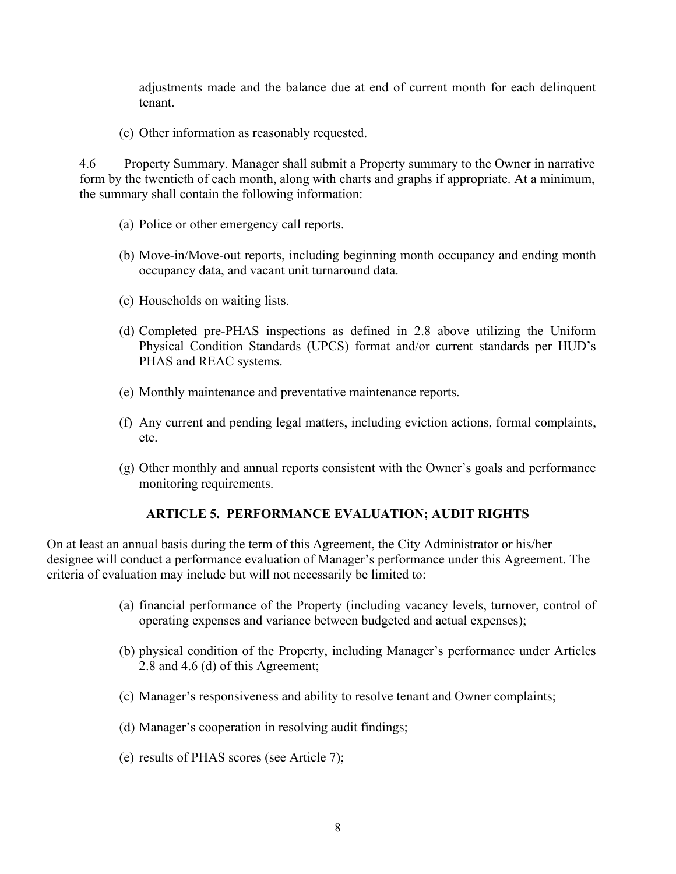adjustments made and the balance due at end of current month for each delinquent tenant.

(c) Other information as reasonably requested.

4.6 Property Summary. Manager shall submit a Property summary to the Owner in narrative form by the twentieth of each month, along with charts and graphs if appropriate. At a minimum, the summary shall contain the following information:

- (a) Police or other emergency call reports.
- (b) Move-in/Move-out reports, including beginning month occupancy and ending month occupancy data, and vacant unit turnaround data.
- (c) Households on waiting lists.
- (d) Completed pre-PHAS inspections as defined in 2.8 above utilizing the Uniform Physical Condition Standards (UPCS) format and/or current standards per HUD's PHAS and REAC systems.
- (e) Monthly maintenance and preventative maintenance reports.
- (f) Any current and pending legal matters, including eviction actions, formal complaints, etc.
- (g) Other monthly and annual reports consistent with the Owner's goals and performance monitoring requirements.

### **ARTICLE 5. PERFORMANCE EVALUATION; AUDIT RIGHTS**

On at least an annual basis during the term of this Agreement, the City Administrator or his/her designee will conduct a performance evaluation of Manager's performance under this Agreement. The criteria of evaluation may include but will not necessarily be limited to:

- (a) financial performance of the Property (including vacancy levels, turnover, control of operating expenses and variance between budgeted and actual expenses);
- (b) physical condition of the Property, including Manager's performance under Articles 2.8 and 4.6 (d) of this Agreement;
- (c) Manager's responsiveness and ability to resolve tenant and Owner complaints;
- (d) Manager's cooperation in resolving audit findings;
- (e) results of PHAS scores (see Article 7);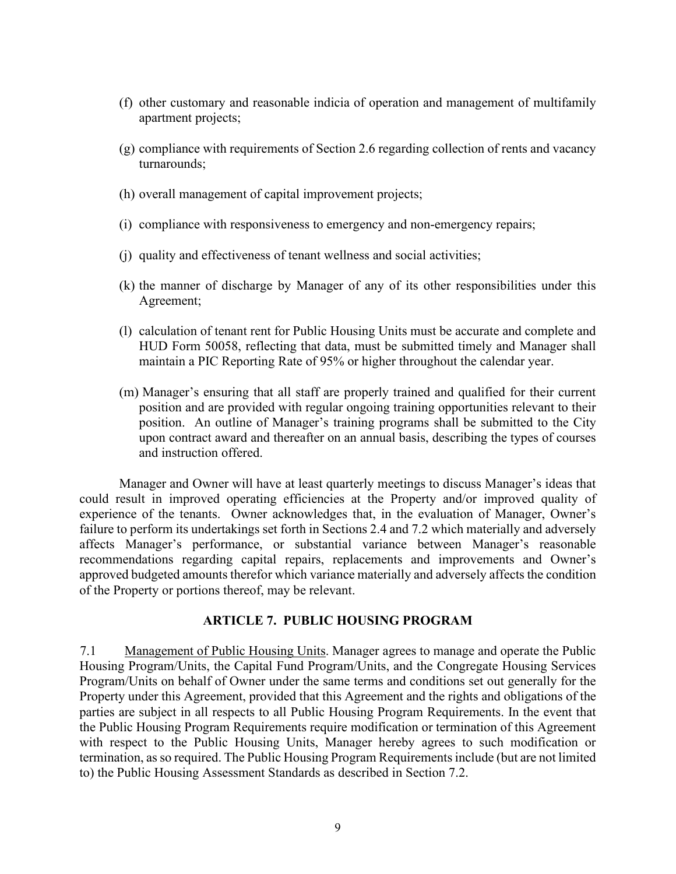- (f) other customary and reasonable indicia of operation and management of multifamily apartment projects;
- (g) compliance with requirements of Section 2.6 regarding collection of rents and vacancy turnarounds;
- (h) overall management of capital improvement projects;
- (i) compliance with responsiveness to emergency and non-emergency repairs;
- (j) quality and effectiveness of tenant wellness and social activities;
- (k) the manner of discharge by Manager of any of its other responsibilities under this Agreement;
- (l) calculation of tenant rent for Public Housing Units must be accurate and complete and HUD Form 50058, reflecting that data, must be submitted timely and Manager shall maintain a PIC Reporting Rate of 95% or higher throughout the calendar year.
- (m) Manager's ensuring that all staff are properly trained and qualified for their current position and are provided with regular ongoing training opportunities relevant to their position. An outline of Manager's training programs shall be submitted to the City upon contract award and thereafter on an annual basis, describing the types of courses and instruction offered.

Manager and Owner will have at least quarterly meetings to discuss Manager's ideas that could result in improved operating efficiencies at the Property and/or improved quality of experience of the tenants. Owner acknowledges that, in the evaluation of Manager, Owner's failure to perform its undertakings set forth in Sections 2.4 and 7.2 which materially and adversely affects Manager's performance, or substantial variance between Manager's reasonable recommendations regarding capital repairs, replacements and improvements and Owner's approved budgeted amounts therefor which variance materially and adversely affects the condition of the Property or portions thereof, may be relevant.

### **ARTICLE 7. PUBLIC HOUSING PROGRAM**

7.1 Management of Public Housing Units. Manager agrees to manage and operate the Public Housing Program/Units, the Capital Fund Program/Units, and the Congregate Housing Services Program/Units on behalf of Owner under the same terms and conditions set out generally for the Property under this Agreement, provided that this Agreement and the rights and obligations of the parties are subject in all respects to all Public Housing Program Requirements. In the event that the Public Housing Program Requirements require modification or termination of this Agreement with respect to the Public Housing Units, Manager hereby agrees to such modification or termination, as so required. The Public Housing Program Requirements include (but are not limited to) the Public Housing Assessment Standards as described in Section 7.2.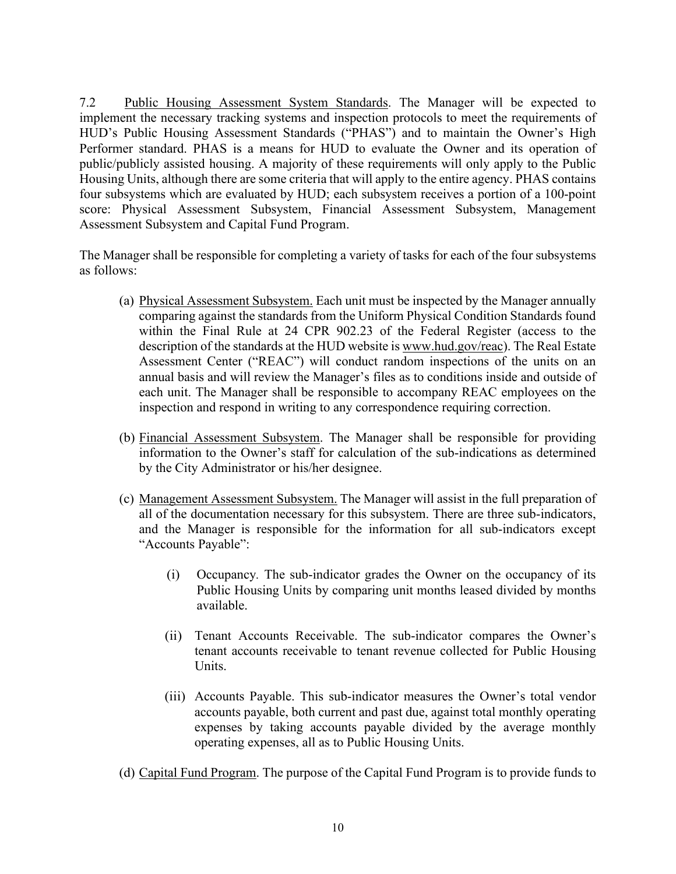7.2 Public Housing Assessment System Standards. The Manager will be expected to implement the necessary tracking systems and inspection protocols to meet the requirements of HUD's Public Housing Assessment Standards ("PHAS") and to maintain the Owner's High Performer standard. PHAS is a means for HUD to evaluate the Owner and its operation of public/publicly assisted housing. A majority of these requirements will only apply to the Public Housing Units, although there are some criteria that will apply to the entire agency. PHAS contains four subsystems which are evaluated by HUD; each subsystem receives a portion of a 100-point score: Physical Assessment Subsystem, Financial Assessment Subsystem, Management Assessment Subsystem and Capital Fund Program.

The Manager shall be responsible for completing a variety of tasks for each of the four subsystems as follows:

- (a) Physical Assessment Subsystem. Each unit must be inspected by the Manager annually comparing against the standards from the Uniform Physical Condition Standards found within the Final Rule at 24 CPR 902.23 of the Federal Register (access to the description of the standards at the HUD website i[s www.hud.gov/reac\).](http://www.hud.gov/reac)) The Real Estate Assessment Center ("REAC") will conduct random inspections of the units on an annual basis and will review the Manager's files as to conditions inside and outside of each unit. The Manager shall be responsible to accompany REAC employees on the inspection and respond in writing to any correspondence requiring correction.
- (b) Financial Assessment Subsystem. The Manager shall be responsible for providing information to the Owner's staff for calculation of the sub-indications as determined by the City Administrator or his/her designee.
- (c) Management Assessment Subsystem. The Manager will assist in the full preparation of all of the documentation necessary for this subsystem. There are three sub-indicators, and the Manager is responsible for the information for all sub-indicators except "Accounts Payable":
	- (i) Occupancy*.* The sub-indicator grades the Owner on the occupancy of its Public Housing Units by comparing unit months leased divided by months available.
	- (ii) Tenant Accounts Receivable. The sub-indicator compares the Owner's tenant accounts receivable to tenant revenue collected for Public Housing Units.
	- (iii) Accounts Payable. This sub-indicator measures the Owner's total vendor accounts payable, both current and past due, against total monthly operating expenses by taking accounts payable divided by the average monthly operating expenses, all as to Public Housing Units.
- (d) Capital Fund Program. The purpose of the Capital Fund Program is to provide funds to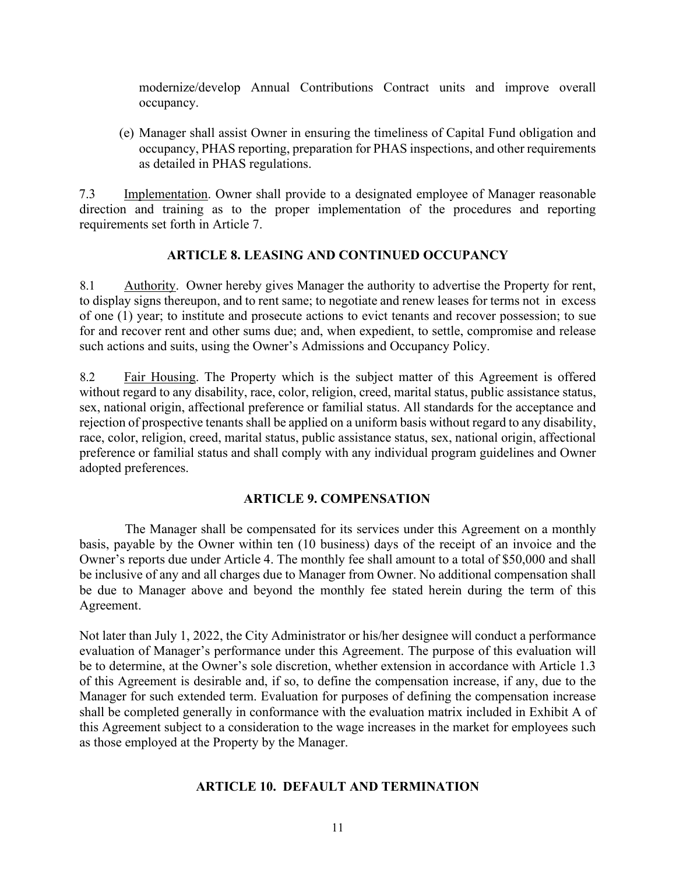modernize/develop Annual Contributions Contract units and improve overall occupancy.

(e) Manager shall assist Owner in ensuring the timeliness of Capital Fund obligation and occupancy, PHAS reporting, preparation for PHAS inspections, and other requirements as detailed in PHAS regulations.

7.3 Implementation. Owner shall provide to a designated employee of Manager reasonable direction and training as to the proper implementation of the procedures and reporting requirements set forth in Article 7.

### **ARTICLE 8. LEASING AND CONTINUED OCCUPANCY**

8.1 Authority. Owner hereby gives Manager the authority to advertise the Property for rent, to display signs thereupon, and to rent same; to negotiate and renew leases for terms not in excess of one (1) year; to institute and prosecute actions to evict tenants and recover possession; to sue for and recover rent and other sums due; and, when expedient, to settle, compromise and release such actions and suits, using the Owner's Admissions and Occupancy Policy.

8.2 Fair Housing. The Property which is the subject matter of this Agreement is offered without regard to any disability, race, color, religion, creed, marital status, public assistance status, sex, national origin, affectional preference or familial status. All standards for the acceptance and rejection of prospective tenants shall be applied on a uniform basis without regard to any disability, race, color, religion, creed, marital status, public assistance status, sex, national origin, affectional preference or familial status and shall comply with any individual program guidelines and Owner adopted preferences.

### **ARTICLE 9. COMPENSATION**

The Manager shall be compensated for its services under this Agreement on a monthly basis, payable by the Owner within ten (10 business) days of the receipt of an invoice and the Owner's reports due under Article 4. The monthly fee shall amount to a total of \$50,000 and shall be inclusive of any and all charges due to Manager from Owner. No additional compensation shall be due to Manager above and beyond the monthly fee stated herein during the term of this Agreement.

Not later than July 1, 2022, the City Administrator or his/her designee will conduct a performance evaluation of Manager's performance under this Agreement. The purpose of this evaluation will be to determine, at the Owner's sole discretion, whether extension in accordance with Article 1.3 of this Agreement is desirable and, if so, to define the compensation increase, if any, due to the Manager for such extended term. Evaluation for purposes of defining the compensation increase shall be completed generally in conformance with the evaluation matrix included in Exhibit A of this Agreement subject to a consideration to the wage increases in the market for employees such as those employed at the Property by the Manager.

### **ARTICLE 10. DEFAULT AND TERMINATION**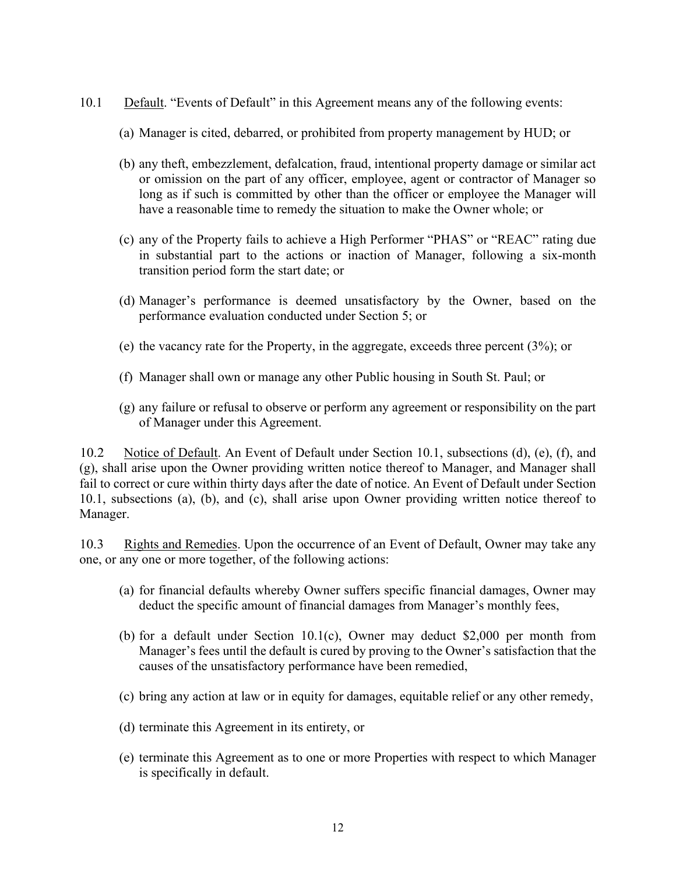- 10.1 Default. "Events of Default" in this Agreement means any of the following events:
	- (a) Manager is cited, debarred, or prohibited from property management by HUD; or
	- (b) any theft, embezzlement, defalcation, fraud, intentional property damage or similar act or omission on the part of any officer, employee, agent or contractor of Manager so long as if such is committed by other than the officer or employee the Manager will have a reasonable time to remedy the situation to make the Owner whole; or
	- (c) any of the Property fails to achieve a High Performer "PHAS" or "REAC" rating due in substantial part to the actions or inaction of Manager, following a six-month transition period form the start date; or
	- (d) Manager's performance is deemed unsatisfactory by the Owner, based on the performance evaluation conducted under Section 5; or
	- (e) the vacancy rate for the Property, in the aggregate, exceeds three percent (3%); or
	- (f) Manager shall own or manage any other Public housing in South St. Paul; or
	- (g) any failure or refusal to observe or perform any agreement or responsibility on the part of Manager under this Agreement.

10.2 Notice of Default. An Event of Default under Section 10.1, subsections (d), (e), (f), and (g), shall arise upon the Owner providing written notice thereof to Manager, and Manager shall fail to correct or cure within thirty days after the date of notice. An Event of Default under Section 10.1, subsections (a), (b), and (c), shall arise upon Owner providing written notice thereof to Manager.

10.3 Rights and Remedies. Upon the occurrence of an Event of Default, Owner may take any one, or any one or more together, of the following actions:

- (a) for financial defaults whereby Owner suffers specific financial damages, Owner may deduct the specific amount of financial damages from Manager's monthly fees,
- (b) for a default under Section 10.1(c), Owner may deduct \$2,000 per month from Manager's fees until the default is cured by proving to the Owner's satisfaction that the causes of the unsatisfactory performance have been remedied,
- (c) bring any action at law or in equity for damages, equitable relief or any other remedy,
- (d) terminate this Agreement in its entirety, or
- (e) terminate this Agreement as to one or more Properties with respect to which Manager is specifically in default.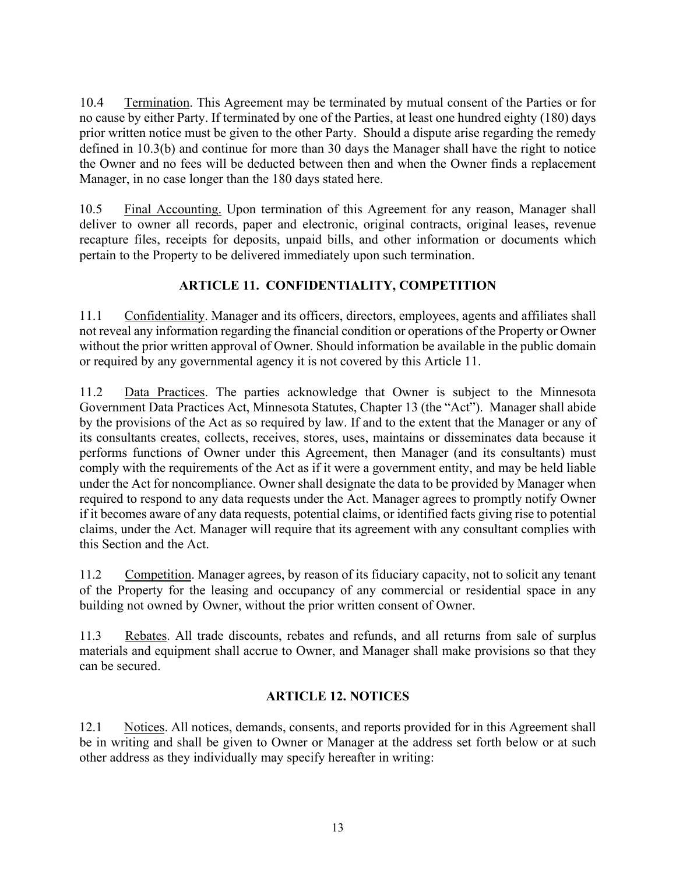10.4 Termination. This Agreement may be terminated by mutual consent of the Parties or for no cause by either Party. If terminated by one of the Parties, at least one hundred eighty (180) days prior written notice must be given to the other Party. Should a dispute arise regarding the remedy defined in 10.3(b) and continue for more than 30 days the Manager shall have the right to notice the Owner and no fees will be deducted between then and when the Owner finds a replacement Manager, in no case longer than the 180 days stated here.

10.5 Final Accounting. Upon termination of this Agreement for any reason, Manager shall deliver to owner all records, paper and electronic, original contracts, original leases, revenue recapture files, receipts for deposits, unpaid bills, and other information or documents which pertain to the Property to be delivered immediately upon such termination.

### **ARTICLE 11. CONFIDENTIALITY, COMPETITION**

11.1 Confidentiality. Manager and its officers, directors, employees, agents and affiliates shall not reveal any information regarding the financial condition or operations of the Property or Owner without the prior written approval of Owner. Should information be available in the public domain or required by any governmental agency it is not covered by this Article 11.

11.2 Data Practices. The parties acknowledge that Owner is subject to the Minnesota Government Data Practices Act, Minnesota Statutes, Chapter 13 (the "Act"). Manager shall abide by the provisions of the Act as so required by law. If and to the extent that the Manager or any of its consultants creates, collects, receives, stores, uses, maintains or disseminates data because it performs functions of Owner under this Agreement, then Manager (and its consultants) must comply with the requirements of the Act as if it were a government entity, and may be held liable under the Act for noncompliance. Owner shall designate the data to be provided by Manager when required to respond to any data requests under the Act. Manager agrees to promptly notify Owner if it becomes aware of any data requests, potential claims, or identified facts giving rise to potential claims, under the Act. Manager will require that its agreement with any consultant complies with this Section and the Act.

11.2 Competition. Manager agrees, by reason of its fiduciary capacity, not to solicit any tenant of the Property for the leasing and occupancy of any commercial or residential space in any building not owned by Owner, without the prior written consent of Owner.

11.3 Rebates. All trade discounts, rebates and refunds, and all returns from sale of surplus materials and equipment shall accrue to Owner, and Manager shall make provisions so that they can be secured.

### **ARTICLE 12. NOTICES**

12.1 Notices. All notices, demands, consents, and reports provided for in this Agreement shall be in writing and shall be given to Owner or Manager at the address set forth below or at such other address as they individually may specify hereafter in writing: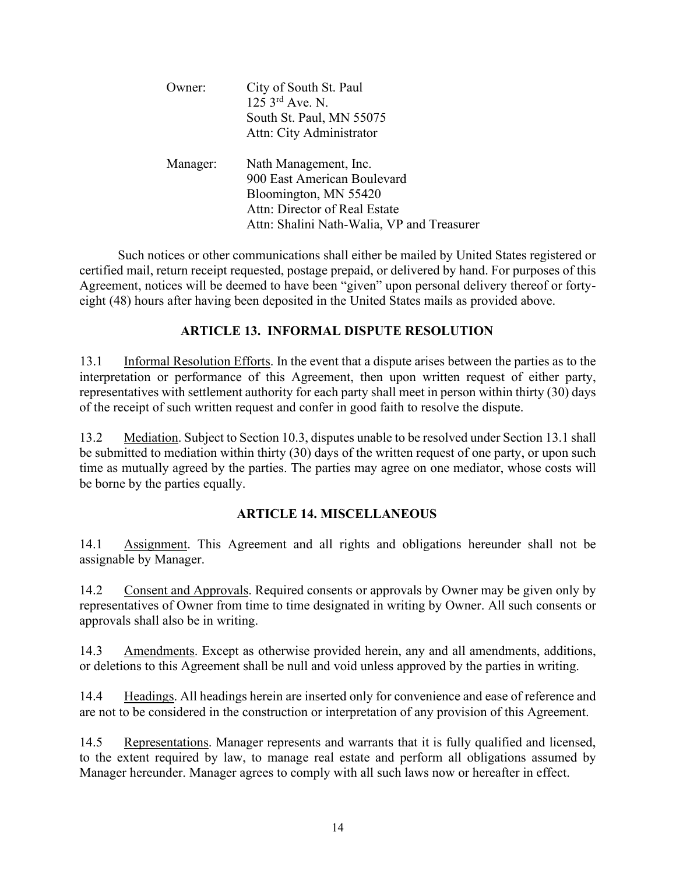| wner:    | City of South St. Paul<br>$125 \,$ 3 <sup>rd</sup> Ave. N.<br>South St. Paul, MN 55075<br>Attn: City Administrator                                           |
|----------|--------------------------------------------------------------------------------------------------------------------------------------------------------------|
| Manager: | Nath Management, Inc.<br>900 East American Boulevard<br>Bloomington, MN 55420<br>Attn: Director of Real Estate<br>Attn: Shalini Nath-Walia, VP and Treasurer |

Such notices or other communications shall either be mailed by United States registered or certified mail, return receipt requested, postage prepaid, or delivered by hand. For purposes of this Agreement, notices will be deemed to have been "given" upon personal delivery thereof or fortyeight (48) hours after having been deposited in the United States mails as provided above.

### **ARTICLE 13. INFORMAL DISPUTE RESOLUTION**

13.1 Informal Resolution Efforts. In the event that a dispute arises between the parties as to the interpretation or performance of this Agreement, then upon written request of either party, representatives with settlement authority for each party shall meet in person within thirty (30) days of the receipt of such written request and confer in good faith to resolve the dispute.

13.2 Mediation. Subject to Section 10.3, disputes unable to be resolved under Section 13.1 shall be submitted to mediation within thirty (30) days of the written request of one party, or upon such time as mutually agreed by the parties. The parties may agree on one mediator, whose costs will be borne by the parties equally.

### **ARTICLE 14. MISCELLANEOUS**

14.1 Assignment. This Agreement and all rights and obligations hereunder shall not be assignable by Manager.

14.2 Consent and Approvals. Required consents or approvals by Owner may be given only by representatives of Owner from time to time designated in writing by Owner. All such consents or approvals shall also be in writing.

14.3 Amendments. Except as otherwise provided herein, any and all amendments, additions, or deletions to this Agreement shall be null and void unless approved by the parties in writing.

14.4 Headings. All headings herein are inserted only for convenience and ease of reference and are not to be considered in the construction or interpretation of any provision of this Agreement.

14.5 Representations. Manager represents and warrants that it is fully qualified and licensed, to the extent required by law, to manage real estate and perform all obligations assumed by Manager hereunder. Manager agrees to comply with all such laws now or hereafter in effect.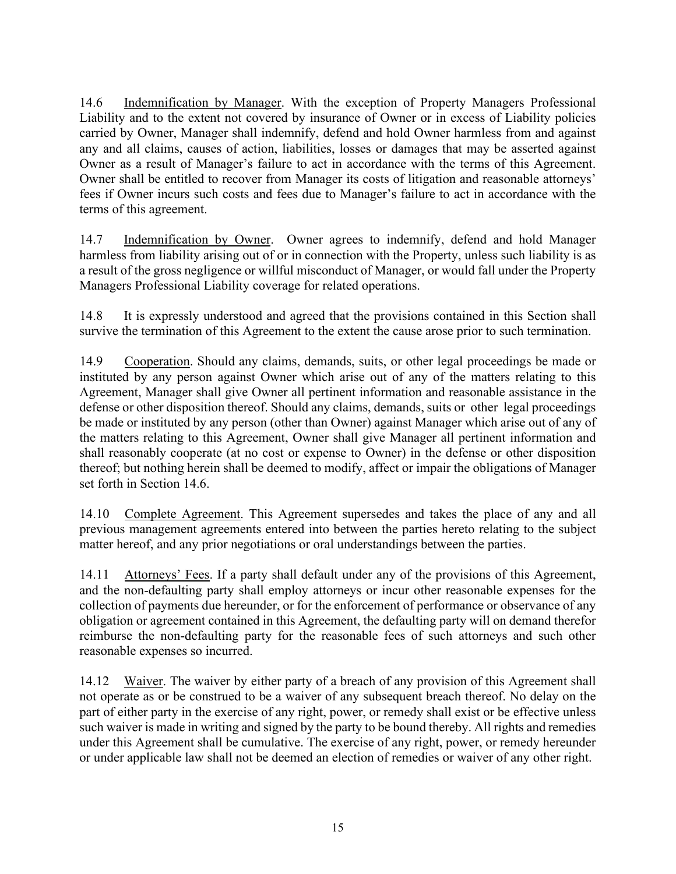14.6 Indemnification by Manager. With the exception of Property Managers Professional Liability and to the extent not covered by insurance of Owner or in excess of Liability policies carried by Owner, Manager shall indemnify, defend and hold Owner harmless from and against any and all claims, causes of action, liabilities, losses or damages that may be asserted against Owner as a result of Manager's failure to act in accordance with the terms of this Agreement. Owner shall be entitled to recover from Manager its costs of litigation and reasonable attorneys' fees if Owner incurs such costs and fees due to Manager's failure to act in accordance with the terms of this agreement.

14.7 Indemnification by Owner. Owner agrees to indemnify, defend and hold Manager harmless from liability arising out of or in connection with the Property, unless such liability is as a result of the gross negligence or willful misconduct of Manager, or would fall under the Property Managers Professional Liability coverage for related operations.

14.8 It is expressly understood and agreed that the provisions contained in this Section shall survive the termination of this Agreement to the extent the cause arose prior to such termination.

14.9 Cooperation. Should any claims, demands, suits, or other legal proceedings be made or instituted by any person against Owner which arise out of any of the matters relating to this Agreement, Manager shall give Owner all pertinent information and reasonable assistance in the defense or other disposition thereof. Should any claims, demands, suits or other legal proceedings be made or instituted by any person (other than Owner) against Manager which arise out of any of the matters relating to this Agreement, Owner shall give Manager all pertinent information and shall reasonably cooperate (at no cost or expense to Owner) in the defense or other disposition thereof; but nothing herein shall be deemed to modify, affect or impair the obligations of Manager set forth in Section 14.6.

14.10 Complete Agreement. This Agreement supersedes and takes the place of any and all previous management agreements entered into between the parties hereto relating to the subject matter hereof, and any prior negotiations or oral understandings between the parties.

14.11 Attorneys' Fees. If a party shall default under any of the provisions of this Agreement, and the non-defaulting party shall employ attorneys or incur other reasonable expenses for the collection of payments due hereunder, or for the enforcement of performance or observance of any obligation or agreement contained in this Agreement, the defaulting party will on demand therefor reimburse the non-defaulting party for the reasonable fees of such attorneys and such other reasonable expenses so incurred.

14.12 Waiver. The waiver by either party of a breach of any provision of this Agreement shall not operate as or be construed to be a waiver of any subsequent breach thereof. No delay on the part of either party in the exercise of any right, power, or remedy shall exist or be effective unless such waiver is made in writing and signed by the party to be bound thereby. All rights and remedies under this Agreement shall be cumulative. The exercise of any right, power, or remedy hereunder or under applicable law shall not be deemed an election of remedies or waiver of any other right.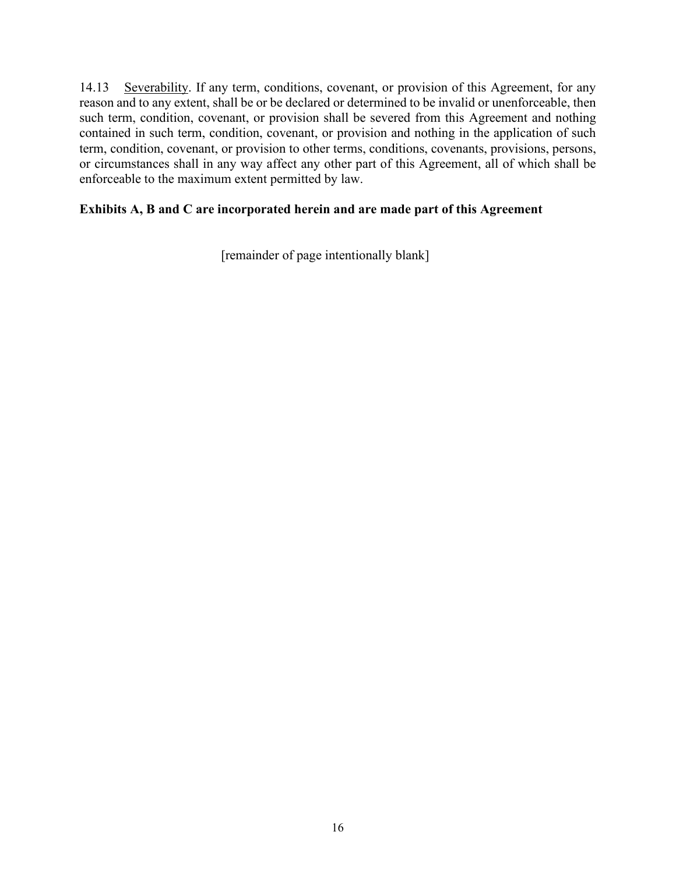14.13 Severability. If any term, conditions, covenant, or provision of this Agreement, for any reason and to any extent, shall be or be declared or determined to be invalid or unenforceable, then such term, condition, covenant, or provision shall be severed from this Agreement and nothing contained in such term, condition, covenant, or provision and nothing in the application of such term, condition, covenant, or provision to other terms, conditions, covenants, provisions, persons, or circumstances shall in any way affect any other part of this Agreement, all of which shall be enforceable to the maximum extent permitted by law.

### **Exhibits A, B and C are incorporated herein and are made part of this Agreement**

[remainder of page intentionally blank]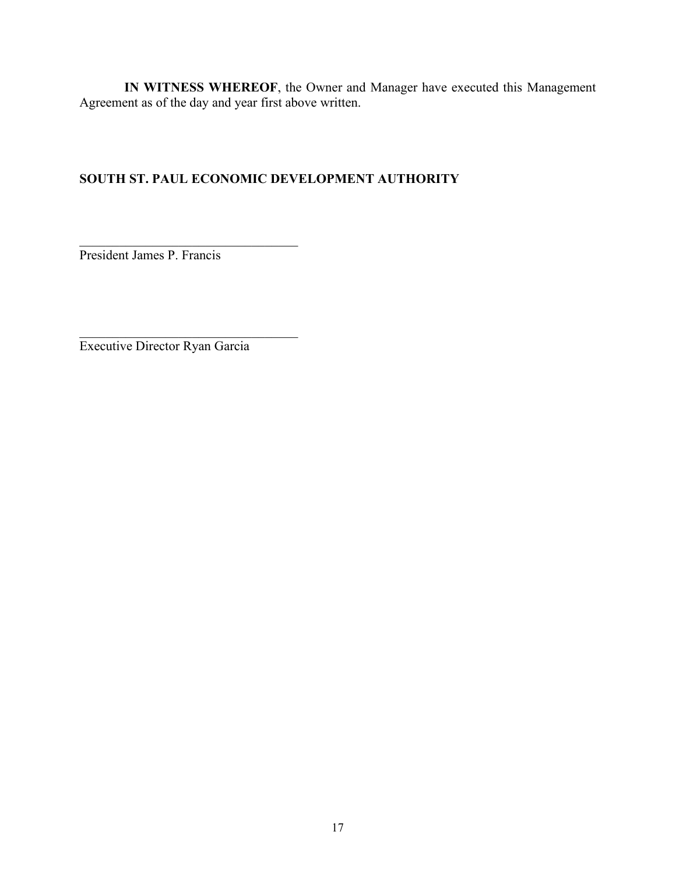**IN WITNESS WHEREOF**, the Owner and Manager have executed this Management Agreement as of the day and year first above written.

### **SOUTH ST. PAUL ECONOMIC DEVELOPMENT AUTHORITY**

President James P. Francis

 $\mathcal{L}_\mathcal{L}$  , where  $\mathcal{L}_\mathcal{L}$  , we are the set of the set of the set of the set of the set of the set of the set of the set of the set of the set of the set of the set of the set of the set of the set of the set o

 $\mathcal{L}_\text{max}$  and  $\mathcal{L}_\text{max}$  and  $\mathcal{L}_\text{max}$  and  $\mathcal{L}_\text{max}$ 

Executive Director Ryan Garcia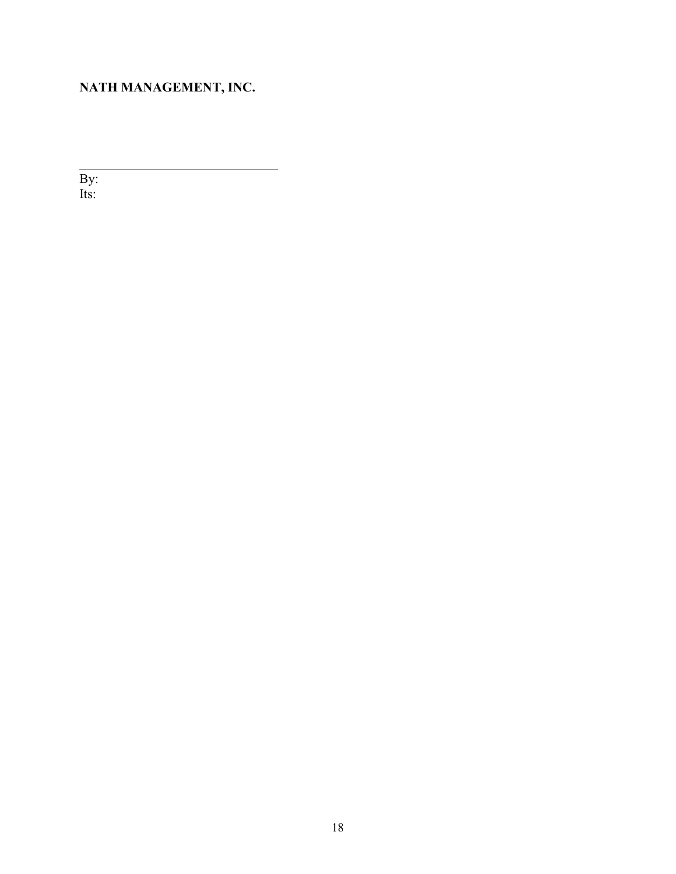# **NATH MANAGEMENT, INC.**

By: Its: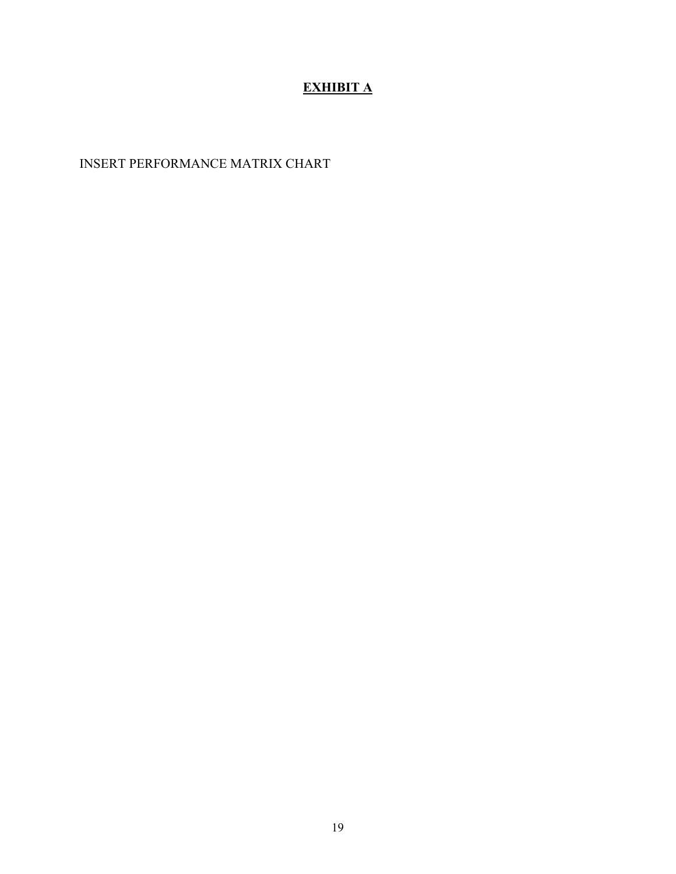# **EXHIBIT A**

# INSERT PERFORMANCE MATRIX CHART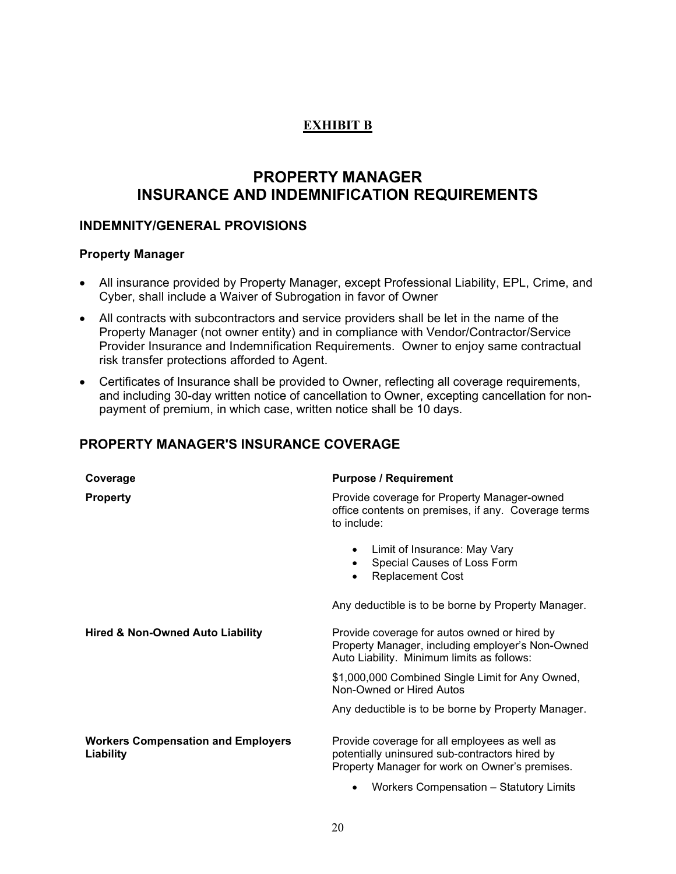### **EXHIBIT B**

# **PROPERTY MANAGER INSURANCE AND INDEMNIFICATION REQUIREMENTS**

### **INDEMNITY/GENERAL PROVISIONS**

### **Property Manager**

- All insurance provided by Property Manager, except Professional Liability, EPL, Crime, and Cyber, shall include a Waiver of Subrogation in favor of Owner
- All contracts with subcontractors and service providers shall be let in the name of the Property Manager (not owner entity) and in compliance with Vendor/Contractor/Service Provider Insurance and Indemnification Requirements. Owner to enjoy same contractual risk transfer protections afforded to Agent.
- Certificates of Insurance shall be provided to Owner, reflecting all coverage requirements, and including 30-day written notice of cancellation to Owner, excepting cancellation for nonpayment of premium, in which case, written notice shall be 10 days.

### **PROPERTY MANAGER'S INSURANCE COVERAGE**

| Coverage                                               | <b>Purpose / Requirement</b>                                                                                                                      |
|--------------------------------------------------------|---------------------------------------------------------------------------------------------------------------------------------------------------|
| <b>Property</b>                                        | Provide coverage for Property Manager-owned<br>office contents on premises, if any. Coverage terms<br>to include:                                 |
|                                                        | Limit of Insurance: May Vary<br>Special Causes of Loss Form<br><b>Replacement Cost</b>                                                            |
|                                                        | Any deductible is to be borne by Property Manager.                                                                                                |
| <b>Hired &amp; Non-Owned Auto Liability</b>            | Provide coverage for autos owned or hired by<br>Property Manager, including employer's Non-Owned<br>Auto Liability. Minimum limits as follows:    |
|                                                        | \$1,000,000 Combined Single Limit for Any Owned,<br>Non-Owned or Hired Autos                                                                      |
|                                                        | Any deductible is to be borne by Property Manager.                                                                                                |
| <b>Workers Compensation and Employers</b><br>Liability | Provide coverage for all employees as well as<br>potentially uninsured sub-contractors hired by<br>Property Manager for work on Owner's premises. |
|                                                        | Workers Compensation - Statutory Limits                                                                                                           |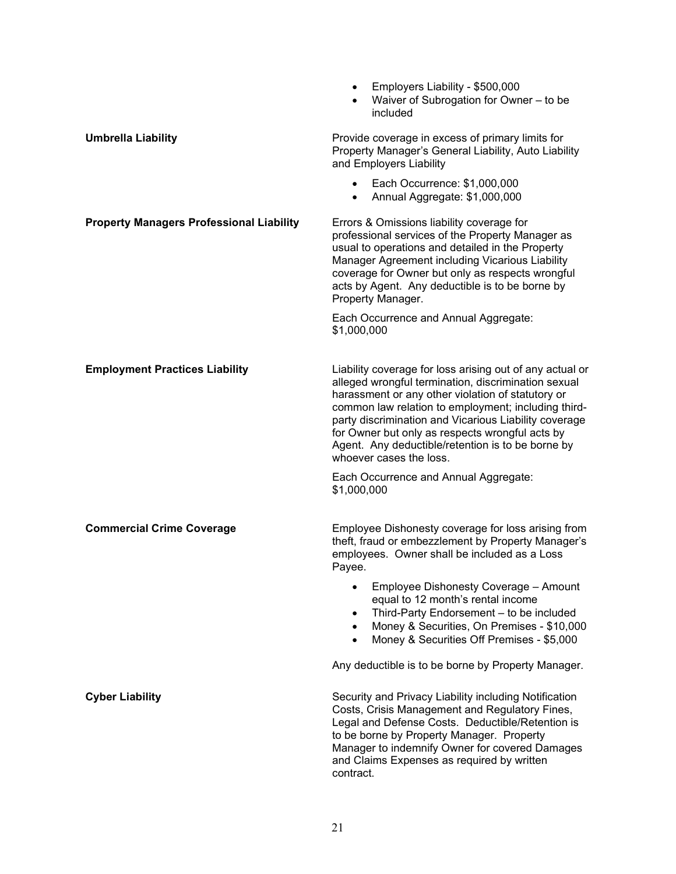|                                                 | Employers Liability - \$500,000<br>$\bullet$<br>Waiver of Subrogation for Owner - to be<br>included                                                                                                                                                                                                                                                                                                                     |
|-------------------------------------------------|-------------------------------------------------------------------------------------------------------------------------------------------------------------------------------------------------------------------------------------------------------------------------------------------------------------------------------------------------------------------------------------------------------------------------|
| <b>Umbrella Liability</b>                       | Provide coverage in excess of primary limits for<br>Property Manager's General Liability, Auto Liability<br>and Employers Liability                                                                                                                                                                                                                                                                                     |
|                                                 | • Each Occurrence: \$1,000,000<br>Annual Aggregate: \$1,000,000<br>$\bullet$                                                                                                                                                                                                                                                                                                                                            |
| <b>Property Managers Professional Liability</b> | Errors & Omissions liability coverage for<br>professional services of the Property Manager as<br>usual to operations and detailed in the Property<br>Manager Agreement including Vicarious Liability<br>coverage for Owner but only as respects wrongful<br>acts by Agent. Any deductible is to be borne by<br>Property Manager.                                                                                        |
|                                                 | Each Occurrence and Annual Aggregate:<br>\$1,000,000                                                                                                                                                                                                                                                                                                                                                                    |
| <b>Employment Practices Liability</b>           | Liability coverage for loss arising out of any actual or<br>alleged wrongful termination, discrimination sexual<br>harassment or any other violation of statutory or<br>common law relation to employment; including third-<br>party discrimination and Vicarious Liability coverage<br>for Owner but only as respects wrongful acts by<br>Agent. Any deductible/retention is to be borne by<br>whoever cases the loss. |
|                                                 | Each Occurrence and Annual Aggregate:<br>\$1,000,000                                                                                                                                                                                                                                                                                                                                                                    |
| <b>Commercial Crime Coverage</b>                | Employee Dishonesty coverage for loss arising from<br>theft, fraud or embezzlement by Property Manager's<br>employees. Owner shall be included as a Loss<br>Payee.                                                                                                                                                                                                                                                      |
|                                                 | Employee Dishonesty Coverage - Amount<br>equal to 12 month's rental income<br>Third-Party Endorsement - to be included<br>$\bullet$<br>Money & Securities, On Premises - \$10,000<br>$\bullet$<br>Money & Securities Off Premises - \$5,000                                                                                                                                                                             |
|                                                 | Any deductible is to be borne by Property Manager.                                                                                                                                                                                                                                                                                                                                                                      |
| <b>Cyber Liability</b>                          | Security and Privacy Liability including Notification<br>Costs, Crisis Management and Regulatory Fines,<br>Legal and Defense Costs. Deductible/Retention is<br>to be borne by Property Manager. Property<br>Manager to indemnify Owner for covered Damages<br>and Claims Expenses as required by written<br>contract.                                                                                                   |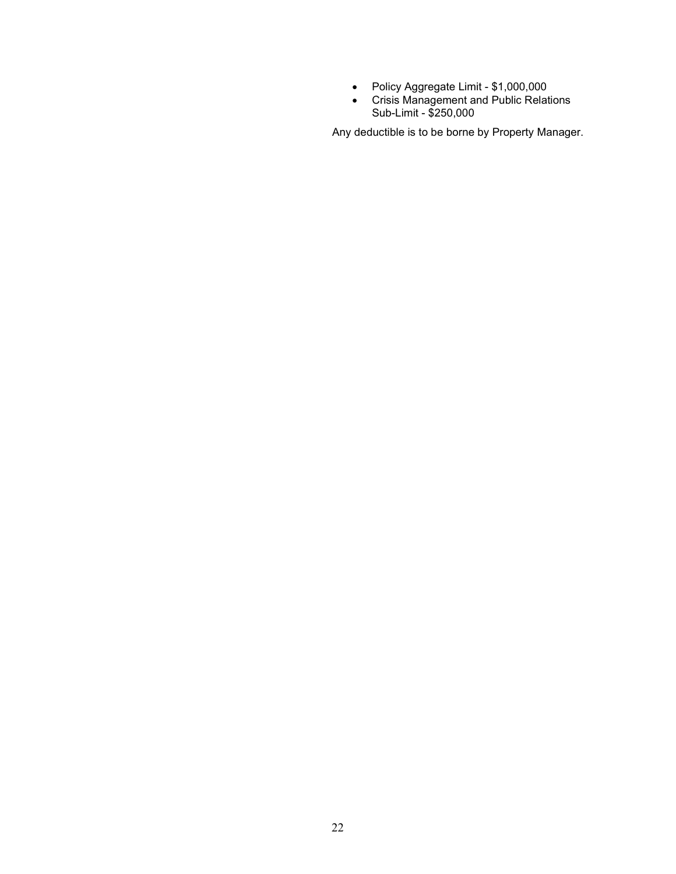- Policy Aggregate Limit \$1,000,000
- Crisis Management and Public Relations Sub-Limit - \$250,000

Any deductible is to be borne by Property Manager.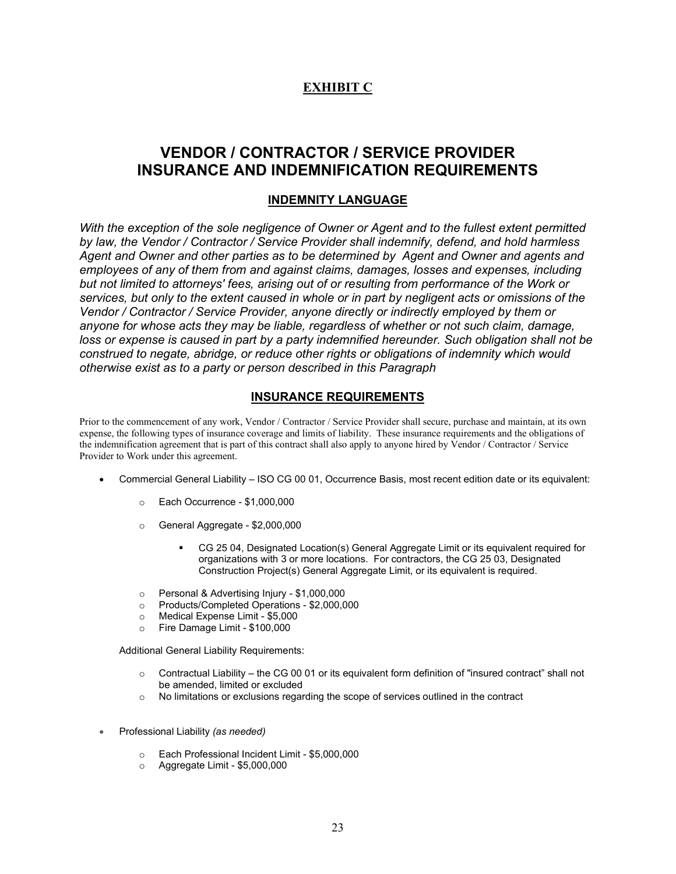### **EXHIBIT C**

### **VENDOR / CONTRACTOR / SERVICE PROVIDER INSURANCE AND INDEMNIFICATION REQUIREMENTS**

### **INDEMNITY LANGUAGE**

*With the exception of the sole negligence of Owner or Agent and to the fullest extent permitted by law, the Vendor / Contractor / Service Provider shall indemnify, defend, and hold harmless Agent and Owner and other parties as to be determined by Agent and Owner and agents and employees of any of them from and against claims, damages, losses and expenses, including but not limited to attorneys' fees, arising out of or resulting from performance of the Work or services, but only to the extent caused in whole or in part by negligent acts or omissions of the Vendor / Contractor / Service Provider, anyone directly or indirectly employed by them or anyone for whose acts they may be liable, regardless of whether or not such claim, damage, loss or expense is caused in part by a party indemnified hereunder. Such obligation shall not be construed to negate, abridge, or reduce other rights or obligations of indemnity which would otherwise exist as to a party or person described in this Paragraph* 

### **INSURANCE REQUIREMENTS**

Prior to the commencement of any work, Vendor / Contractor / Service Provider shall secure, purchase and maintain, at its own expense, the following types of insurance coverage and limits of liability. These insurance requirements and the obligations of the indemnification agreement that is part of this contract shall also apply to anyone hired by Vendor / Contractor / Service Provider to Work under this agreement.

- Commercial General Liability ISO CG 00 01, Occurrence Basis, most recent edition date or its equivalent:
	- o Each Occurrence \$1,000,000
	- o General Aggregate \$2,000,000
		- CG 25 04, Designated Location(s) General Aggregate Limit or its equivalent required for organizations with 3 or more locations. For contractors, the CG 25 03, Designated Construction Project(s) General Aggregate Limit, or its equivalent is required.
	- o Personal & Advertising Injury \$1,000,000
	- o Products/Completed Operations \$2,000,000
	- o Medical Expense Limit \$5,000
	- o Fire Damage Limit \$100,000

Additional General Liability Requirements:

- $\circ$  Contractual Liability the CG 00 01 or its equivalent form definition of "insured contract" shall not be amended, limited or excluded
- $\circ$  No limitations or exclusions regarding the scope of services outlined in the contract
- Professional Liability *(as needed)*
	- o Each Professional Incident Limit \$5,000,000<br>○ Aggregate Limit \$5,000,000
	- o Aggregate Limit \$5,000,000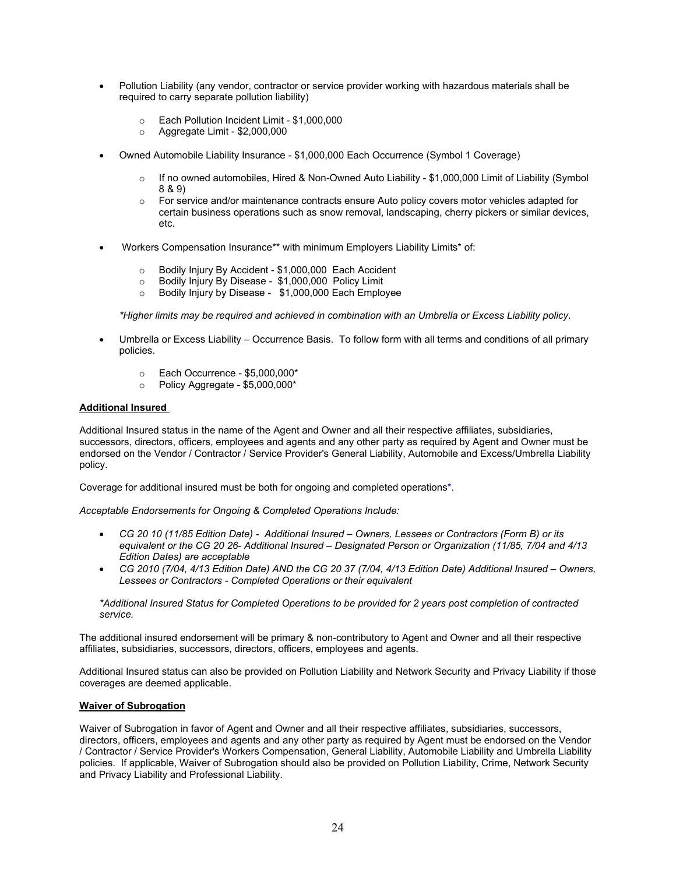- Pollution Liability (any vendor, contractor or service provider working with hazardous materials shall be required to carry separate pollution liability)
	- $\circ$  Each Pollution Incident Limit \$1,000,000<br>  $\circ$  Aggregate Limit \$2,000,000
	- o Aggregate Limit \$2,000,000
- Owned Automobile Liability Insurance \$1,000,000 Each Occurrence (Symbol 1 Coverage)
	- $\circ$  If no owned automobiles, Hired & Non-Owned Auto Liability \$1,000,000 Limit of Liability (Symbol 8 & 9)
	- $\circ$  For service and/or maintenance contracts ensure Auto policy covers motor vehicles adapted for certain business operations such as snow removal, landscaping, cherry pickers or similar devices, etc.
- Workers Compensation Insurance\*\* with minimum Employers Liability Limits\* of:
	- o Bodily Injury By Accident \$1,000,000 Each Accident<br>○ Bodily Injury By Disease \$1.000.000 Policy Limit
	- o Bodily Injury By Disease \$1,000,000 Policy Limit
	- Bodily Injury by Disease \$1,000,000 Each Employee

*\*Higher limits may be required and achieved in combination with an Umbrella or Excess Liability policy.*

- Umbrella or Excess Liability Occurrence Basis. To follow form with all terms and conditions of all primary policies.
	- $\circ$  Each Occurrence \$5,000,000\*<br> $\circ$  Policy Agaregate \$5.000.000\*
	- Policy Aggregate \$5,000,000\*

#### **Additional Insured**

Additional Insured status in the name of the Agent and Owner and all their respective affiliates, subsidiaries, successors, directors, officers, employees and agents and any other party as required by Agent and Owner must be endorsed on the Vendor / Contractor / Service Provider's General Liability, Automobile and Excess/Umbrella Liability policy.

Coverage for additional insured must be both for ongoing and completed operations\*.

*Acceptable Endorsements for Ongoing & Completed Operations Include:*

- *CG 20 10 (11/85 Edition Date) Additional Insured – Owners, Lessees or Contractors (Form B) or its equivalent or the CG 20 26- Additional Insured – Designated Person or Organization (11/85, 7/04 and 4/13 Edition Dates) are acceptable*
- *CG 2010 (7/04, 4/13 Edition Date) AND the CG 20 37 (7/04, 4/13 Edition Date) Additional Insured – Owners, Lessees or Contractors - Completed Operations or their equivalent*

*\*Additional Insured Status for Completed Operations to be provided for 2 years post completion of contracted service.*

The additional insured endorsement will be primary & non-contributory to Agent and Owner and all their respective affiliates, subsidiaries, successors, directors, officers, employees and agents.

Additional Insured status can also be provided on Pollution Liability and Network Security and Privacy Liability if those coverages are deemed applicable.

#### **Waiver of Subrogation**

Waiver of Subrogation in favor of Agent and Owner and all their respective affiliates, subsidiaries, successors, directors, officers, employees and agents and any other party as required by Agent must be endorsed on the Vendor / Contractor / Service Provider's Workers Compensation, General Liability, Automobile Liability and Umbrella Liability policies. If applicable, Waiver of Subrogation should also be provided on Pollution Liability, Crime, Network Security and Privacy Liability and Professional Liability.